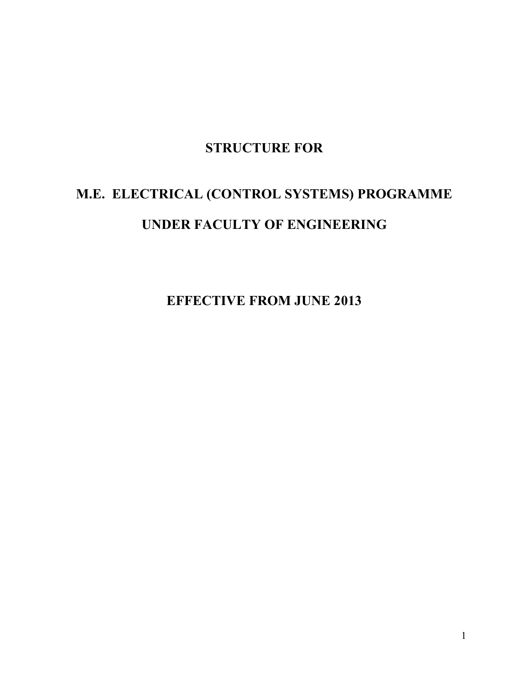## **STRUCTURE FOR**

# **M.E. ELECTRICAL (CONTROL SYSTEMS) PROGRAMME UNDER FACULTY OF ENGINEERING**

**EFFECTIVE FROM JUNE 2013**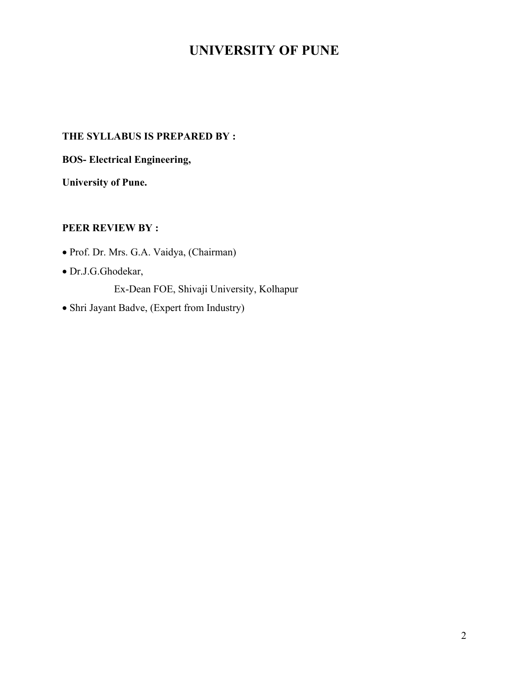## **UNIVERSITY OF PUNE**

## **THE SYLLABUS IS PREPARED BY :**

**BOS- Electrical Engineering,**

**University of Pune.**

## **PEER REVIEW BY :**

- Prof. Dr. Mrs. G.A. Vaidya, (Chairman)
- Dr.J.G.Ghodekar,
	- Ex-Dean FOE, Shivaji University, Kolhapur
- Shri Jayant Badve, (Expert from Industry)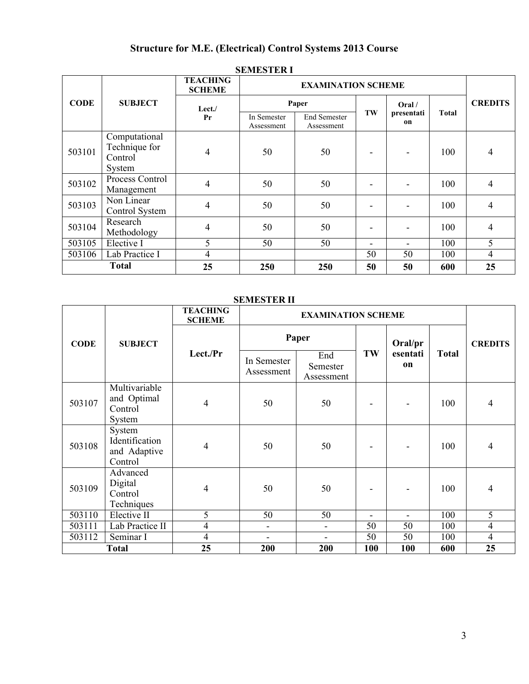## **Structure for M.E. (Electrical) Control Systems 2013 Course**

|             |                                                     | <b>TEACHING</b><br><b>SCHEME</b> |                                                         |       |                  |       |       |                |
|-------------|-----------------------------------------------------|----------------------------------|---------------------------------------------------------|-------|------------------|-------|-------|----------------|
| <b>CODE</b> | <b>SUBJECT</b>                                      | Lect./                           |                                                         | Paper |                  | Oral/ | Total | <b>CREDITS</b> |
|             |                                                     | Pr                               | End Semester<br>In Semester<br>Assessment<br>Assessment | TW    | presentati<br>on |       |       |                |
| 503101      | Computational<br>Technique for<br>Control<br>System | 4                                | 50                                                      | 50    |                  |       | 100   | 4              |
| 503102      | Process Control<br>Management                       | 4                                | 50                                                      | 50    |                  |       | 100   | 4              |
| 503103      | Non Linear<br>Control System                        | 4                                | 50                                                      | 50    |                  |       | 100   | 4              |
| 503104      | Research<br>Methodology                             | 4                                | 50                                                      | 50    |                  |       | 100   | 4              |
| 503105      | Elective I                                          | 5                                | 50                                                      | 50    |                  |       | 100   | 5              |
| 503106      | Lab Practice I                                      | 4                                |                                                         |       | 50               | 50    | 100   | $\overline{4}$ |
|             | <b>Total</b>                                        | 25                               | 250                                                     | 250   | 50               | 50    | 600   | 25             |

## **SEMESTER I**

## **SEMESTER II**

|             |                                                     | <b>TEACHING</b><br><b>SCHEME</b> |                           | <b>EXAMINATION SCHEME</b>     |     |                |              |                |  |
|-------------|-----------------------------------------------------|----------------------------------|---------------------------|-------------------------------|-----|----------------|--------------|----------------|--|
| <b>CODE</b> | <b>SUBJECT</b>                                      |                                  |                           | Paper                         |     | Oral/pr        |              | <b>CREDITS</b> |  |
|             |                                                     | Lect./Pr                         | In Semester<br>Assessment | End<br>Semester<br>Assessment | TW  | esentati<br>on | <b>Total</b> |                |  |
| 503107      | Multivariable<br>and Optimal<br>Control<br>System   | $\overline{4}$                   | 50                        | 50                            |     |                | 100          | $\overline{4}$ |  |
| 503108      | System<br>Identification<br>and Adaptive<br>Control | $\overline{4}$                   | 50                        | 50                            |     |                | 100          | $\overline{4}$ |  |
| 503109      | Advanced<br>Digital<br>Control<br>Techniques        | $\overline{4}$                   | 50                        | 50                            |     |                | 100          | $\overline{4}$ |  |
| 503110      | Elective II                                         | 5                                | 50                        | 50                            | ٠   | $\blacksquare$ | 100          | 5              |  |
| 503111      | Lab Practice II                                     | $\overline{4}$                   | ÷,                        | L,                            | 50  | 50             | 100          | $\overline{4}$ |  |
| 503112      | Seminar I                                           | $\overline{4}$                   | -                         | -                             | 50  | 50             | 100          | $\overline{4}$ |  |
|             | <b>Total</b>                                        | 25                               | 200                       | 200                           | 100 | 100            | 600          | 25             |  |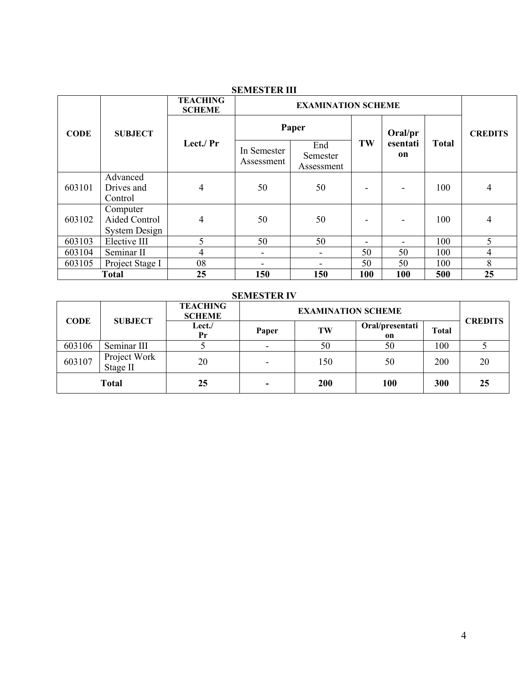|             |                                            | <b>TEACHING</b><br><b>SCHEME</b> | <b>EXAMINATION SCHEME</b> |                               |                              |                              |              |                |
|-------------|--------------------------------------------|----------------------------------|---------------------------|-------------------------------|------------------------------|------------------------------|--------------|----------------|
| <b>CODE</b> | <b>SUBJECT</b>                             |                                  |                           | Paper                         |                              | Oral/pr                      |              | <b>CREDITS</b> |
|             |                                            | Lect./ Pr                        | In Semester<br>Assessment | End<br>Semester<br>Assessment | TW                           | esentati<br>on               | <b>Total</b> |                |
| 603101      | Advanced<br>Drives and<br>Control          | 4                                | 50                        | 50                            | ۰                            | $\qquad \qquad \blacksquare$ | 100          | 4              |
| 603102      | Computer<br>Aided Control<br>System Design | 4                                | 50                        | 50                            | $\qquad \qquad \blacksquare$ | $\qquad \qquad \blacksquare$ | 100          | 4              |
| 603103      | Elective III                               | 5                                | 50                        | 50                            | -                            |                              | 100          | 5              |
| 603104      | Seminar II                                 | 4                                | -                         | ۰                             | 50                           | 50                           | 100          | 4              |
| 603105      | Project Stage I                            | 08                               |                           |                               | 50                           | 50                           | 100          | 8              |
|             | <b>Total</b>                               | 25                               | 150                       | 150                           | 100                          | 100                          | 500          | 25             |

## **SEMESTER III**

## **SEMESTER IV**

| <b>CODE</b> | <b>SUBJECT</b>           | <b>TEACHING</b><br><b>SCHEME</b> | <b>EXAMINATION SCHEME</b> |     |                       |              |    |  | <b>CREDITS</b> |
|-------------|--------------------------|----------------------------------|---------------------------|-----|-----------------------|--------------|----|--|----------------|
|             |                          | <b>Lect./</b><br>Pr              | Paper                     | TW  | Oral/presentati<br>on | <b>Total</b> |    |  |                |
| 603106      | Seminar III              |                                  | $\overline{\phantom{0}}$  | 50  | 50                    | 100          |    |  |                |
| 603107      | Project Work<br>Stage II | 20                               | $\overline{\phantom{a}}$  | 150 | 50                    | 200          | 20 |  |                |
|             | <b>Total</b>             | 25                               | $\blacksquare$            | 200 | <b>100</b>            | 300          | 25 |  |                |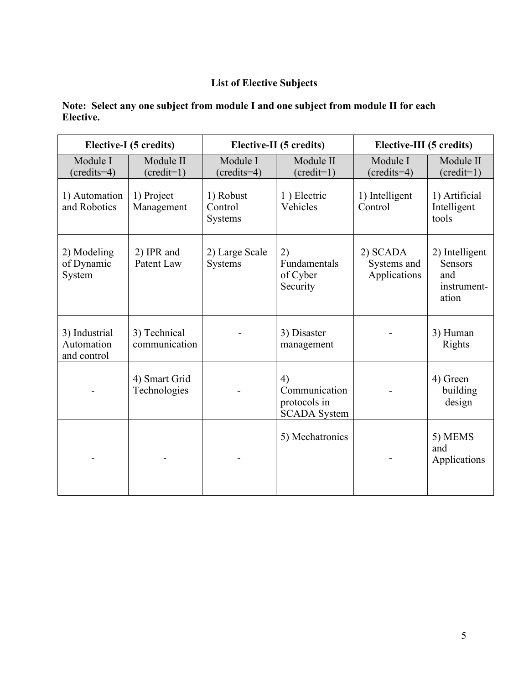## **List of Elective Subjects**

|                                            | Elective-I (5 credits)           |                                 | Elective-II (5 credits)                                    |                                         | Elective-III (5 credits)                                        |  |  |
|--------------------------------------------|----------------------------------|---------------------------------|------------------------------------------------------------|-----------------------------------------|-----------------------------------------------------------------|--|--|
| Module I<br>$(credits=4)$                  | Module II<br>$(\text{credit=1})$ | Module I<br>$({\rm credits=4})$ | Module II<br>$(\text{credit=1})$                           | Module I<br>$({\rm credits=4})$         | Module II<br>$(\text{credit=1})$                                |  |  |
| 1) Automation<br>and Robotics              | 1) Project<br>Management         | 1) Robust<br>Control<br>Systems | 1) Electric<br>Vehicles                                    | 1) Intelligent<br>Control               | 1) Artificial<br>Intelligent<br>tools                           |  |  |
| 2) Modeling<br>of Dynamic<br>System        | 2) IPR and<br>Patent Law         | 2) Large Scale<br>Systems       | 2)<br>Fundamentals<br>of Cyber<br>Security                 | 2) SCADA<br>Systems and<br>Applications | 2) Intelligent<br><b>Sensors</b><br>and<br>instrument-<br>ation |  |  |
| 3) Industrial<br>Automation<br>and control | 3) Technical<br>communication    |                                 | 3) Disaster<br>management                                  |                                         | 3) Human<br><b>Rights</b>                                       |  |  |
|                                            | 4) Smart Grid<br>Technologies    |                                 | 4)<br>Communication<br>protocols in<br><b>SCADA System</b> |                                         | 4) Green<br>building<br>design                                  |  |  |
|                                            |                                  |                                 | 5) Mechatronics                                            |                                         | 5) MEMS<br>and<br>Applications                                  |  |  |

## **Note: Select any one subject from module I and one subject from module II for each Elective.**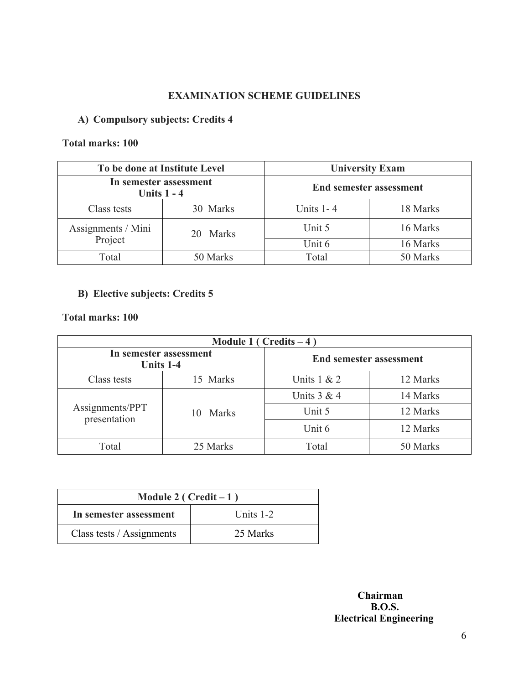## **EXAMINATION SCHEME GUIDELINES**

## **A) Compulsory subjects: Credits 4**

## **Total marks: 100**

| To be done at Institute Level           |          | <b>University Exam</b>         |          |  |  |
|-----------------------------------------|----------|--------------------------------|----------|--|--|
| In semester assessment<br>Units $1 - 4$ |          | <b>End semester assessment</b> |          |  |  |
| 30 Marks<br>Class tests                 |          | Units $1 - 4$                  | 18 Marks |  |  |
| Assignments / Mini                      | 20 Marks | Unit 5                         | 16 Marks |  |  |
| Project                                 |          | Unit 6                         | 16 Marks |  |  |
| 50 Marks<br>Total                       |          | Total                          | 50 Marks |  |  |

## **B) Elective subjects: Credits 5**

## **Total marks: 100**

| Module 1 ( $Credits - 4$ )          |             |                                |          |  |  |  |  |
|-------------------------------------|-------------|--------------------------------|----------|--|--|--|--|
| In semester assessment<br>Units 1-4 |             | <b>End semester assessment</b> |          |  |  |  |  |
| Class tests                         | 15 Marks    | Units $1 & 2$                  | 12 Marks |  |  |  |  |
|                                     |             | Units $3 & 4$                  | 14 Marks |  |  |  |  |
| Assignments/PPT<br>presentation     | Marks<br>10 | Unit 5                         | 12 Marks |  |  |  |  |
|                                     |             | Unit 6                         | 12 Marks |  |  |  |  |
| Total                               | 25 Marks    | Total                          | 50 Marks |  |  |  |  |

| Module 2 ( $Credit-1$ )   |             |  |  |  |
|---------------------------|-------------|--|--|--|
| In semester assessment    | Units $1-2$ |  |  |  |
| Class tests / Assignments | 25 Marks    |  |  |  |

## **Chairman B.O.S. Electrical Engineering**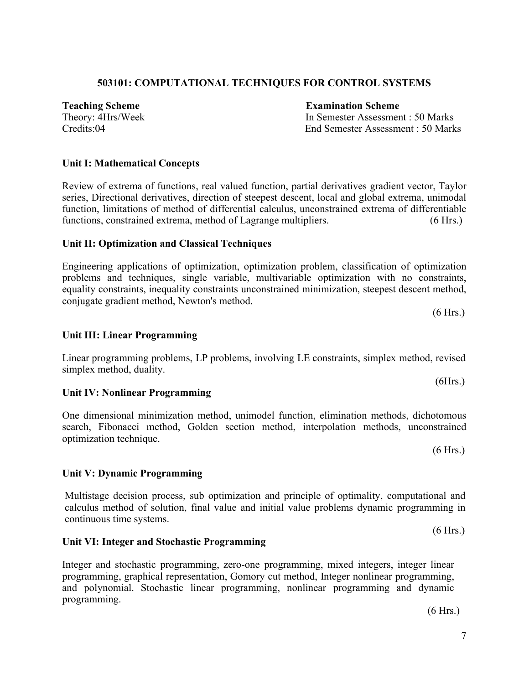# (6 Hrs.)

7

## **503101: COMPUTATIONAL TECHNIQUES FOR CONTROL SYSTEMS**

**Teaching Scheme Examination Scheme**

Theory: 4Hrs/Week In Semester Assessment : 50 Marks Credits:04 End Semester Assessment : 50 Marks

## **Unit I: Mathematical Concepts**

Review of extrema of functions, real valued function, partial derivatives gradient vector, Taylor series, Directional derivatives, direction of steepest descent, local and global extrema, unimodal function, limitations of method of differential calculus, unconstrained extrema of differentiable functions, constrained extrema, method of Lagrange multipliers. (6 Hrs.)

## **Unit II: Optimization and Classical Techniques**

Engineering applications of optimization, optimization problem, classification of optimization problems and techniques, single variable, multivariable optimization with no constraints, equality constraints, inequality constraints unconstrained minimization, steepest descent method, conjugate gradient method, Newton's method.

## **Unit III: Linear Programming**

Linear programming problems, LP problems, involving LE constraints, simplex method, revised simplex method, duality.

## **Unit IV: Nonlinear Programming**

One dimensional minimization method, unimodel function, elimination methods, dichotomous search, Fibonacci method, Golden section method, interpolation methods, unconstrained optimization technique.

**Unit V: Dynamic Programming**

Multistage decision process, sub optimization and principle of optimality, computational and calculus method of solution, final value and initial value problems dynamic programming in continuous time systems.

## **Unit VI: Integer and Stochastic Programming**

Integer and stochastic programming, zero-one programming, mixed integers, integer linear programming, graphical representation, Gomory cut method, Integer nonlinear programming, and polynomial. Stochastic linear programming, nonlinear programming and dynamic programming.

(6 Hrs.)

(6 Hrs.)

(6 Hrs.)

(6Hrs.)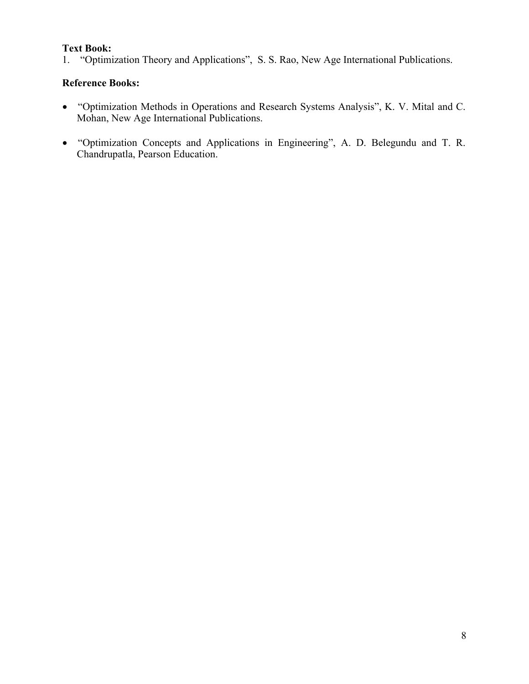## **Text Book:**

1. "Optimization Theory and Applications", S. S. Rao, New Age International Publications.

- "Optimization Methods in Operations and Research Systems Analysis", K. V. Mital and C. Mohan, New Age International Publications.
- "Optimization Concepts and Applications in Engineering", A. D. Belegundu and T. R. Chandrupatla, Pearson Education.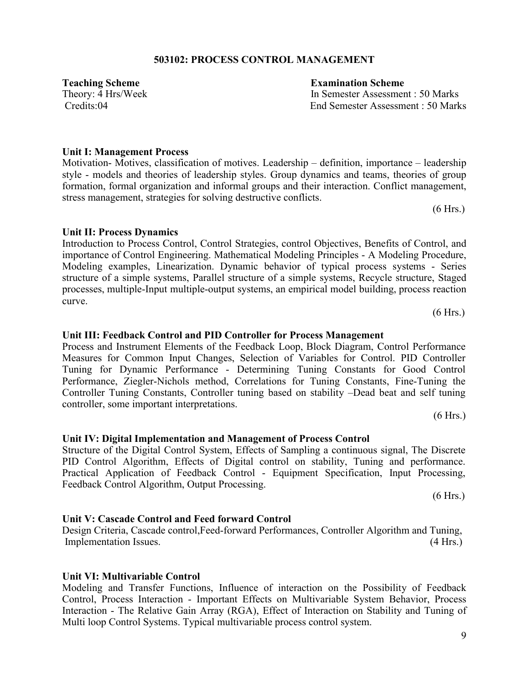## **503102: PROCESS CONTROL MANAGEMENT**

Motivation- Motives, classification of motives. Leadership – definition, importance – leadership style - models and theories of leadership styles. Group dynamics and teams, theories of group formation, formal organization and informal groups and their interaction. Conflict management, stress management, strategies for solving destructive conflicts.

**Unit II: Process Dynamics** Introduction to Process Control, Control Strategies, control Objectives, Benefits of Control, and importance of Control Engineering. Mathematical Modeling Principles - A Modeling Procedure,

Modeling examples, Linearization. Dynamic behavior of typical process systems - Series structure of a simple systems, Parallel structure of a simple systems, Recycle structure, Staged processes, multiple-Input multiple-output systems, an empirical model building, process reaction curve.

#### **Unit III: Feedback Control and PID Controller for Process Management**

Process and Instrument Elements of the Feedback Loop, Block Diagram, Control Performance Measures for Common Input Changes, Selection of Variables for Control. PID Controller Tuning for Dynamic Performance - Determining Tuning Constants for Good Control Performance, Ziegler-Nichols method, Correlations for Tuning Constants, Fine-Tuning the Controller Tuning Constants, Controller tuning based on stability –Dead beat and self tuning controller, some important interpretations.

Structure of the Digital Control System, Effects of Sampling a continuous signal, The Discrete

(6 Hrs.)

## PID Control Algorithm, Effects of Digital control on stability, Tuning and performance. Practical Application of Feedback Control - Equipment Specification, Input Processing, Feedback Control Algorithm, Output Processing.

**Unit IV: Digital Implementation and Management of Process Control**

## **Unit V: Cascade Control and Feed forward Control**

Design Criteria, Cascade control,Feed-forward Performances, Controller Algorithm and Tuning, Implementation Issues. (4 Hrs.)

## **Unit VI: Multivariable Control** Modeling and Transfer Functions, Influence of interaction on the Possibility of Feedback Control, Process Interaction - Important Effects on Multivariable System Behavior, Process Interaction - The Relative Gain Array (RGA), Effect of Interaction on Stability and Tuning of Multi loop Control Systems. Typical multivariable process control system.

## **Unit I: Management Process**

## **Teaching Scheme Examination Scheme**

Theory: 4 Hrs/Week In Semester Assessment : 50 Marks Credits:04 End Semester Assessment : 50 Marks

(6 Hrs.)

(6 Hrs.)

(6 Hrs.)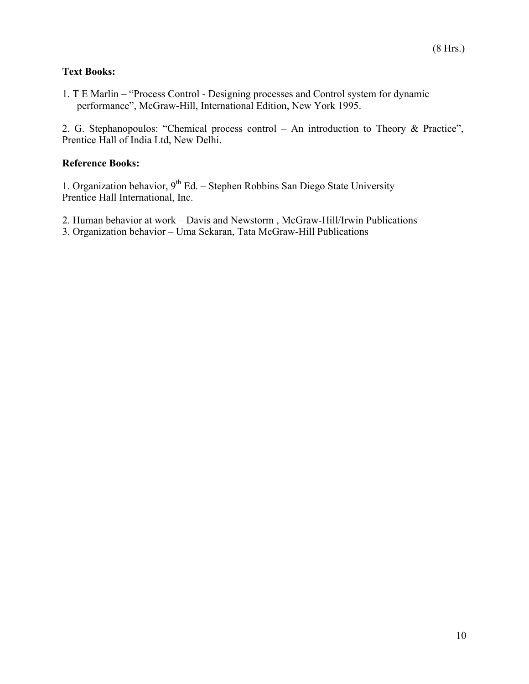## **Text Books:**

1. T E Marlin – "Process Control - Designing processes and Control system for dynamic performance", McGraw-Hill, International Edition, New York 1995.

2. G. Stephanopoulos: "Chemical process control – An introduction to Theory & Practice", Prentice Hall of India Ltd, New Delhi.

## **Reference Books:**

1. Organization behavior,  $9<sup>th</sup> Ed.$  – Stephen Robbins San Diego State University Prentice Hall International, Inc.

2. Human behavior at work – Davis and Newstorm , McGraw-Hill/Irwin Publications

3. Organization behavior – Uma Sekaran, Tata McGraw-Hill Publications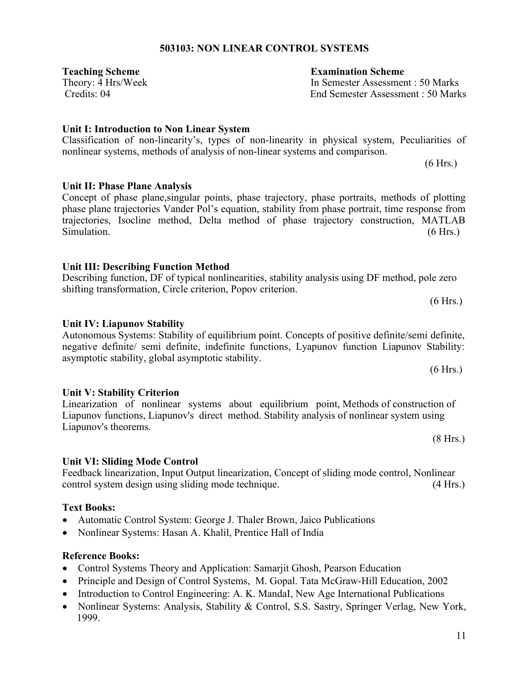## **503103: NON LINEAR CONTROL SYSTEMS**

**Teaching Scheme Examination Scheme**

## **Unit I: Introduction to Non Linear System**

Classification of non-linearity's, types of non-linearity in physical system, Peculiarities of nonlinear systems, methods of analysis of non-linear systems and comparison.

Concept of phase plane,singular points, phase trajectory, phase portraits, methods of plotting phase plane trajectories Vander Pol's equation, stability from phase portrait, time response from trajectories, Isocline method, Delta method of phase trajectory construction, MATLAB Simulation. (6 Hrs.)

## **Unit III: Describing Function Method**

## Describing function, DF of typical nonlinearities, stability analysis using DF method, pole zero shifting transformation, Circle criterion, Popov criterion. (6 Hrs.)

## **Unit IV: Liapunov Stability**

**Unit II: Phase Plane Analysis**

## Autonomous Systems: Stability of equilibrium point. Concepts of positive definite/semi definite, negative definite/ semi definite, indefinite functions, Lyapunov function Liapunov Stability: asymptotic stability, global asymptotic stability.

## **Unit V: Stability Criterion**

Linearization of nonlinear systems about equilibrium point, Methods of construction of Liapunov functions, Liapunov's direct method. Stability analysis of nonlinear system using Liapunov's theorems.

## **Unit VI: Sliding Mode Control**

Feedback linearization, Input Output linearization, Concept of sliding mode control, Nonlinear control system design using sliding mode technique. (4 Hrs.)

## **Text Books:**

- Automatic Control System: George J. Thaler Brown, Jaico Publications
- Nonlinear Systems: Hasan A. Khalil, Prentice Hall of India

## **Reference Books:**

- Control Systems Theory and Application: Samarjit Ghosh, Pearson Education
- Principle and Design of Control Systems, M. Gopal. Tata McGraw-Hill Education, 2002
- Introduction to Control Engineering: A. K. MandaI, New Age International Publications
- Nonlinear Systems: Analysis, Stability & Control, S.S. Sastry, Springer Verlag, New York, 1999.

Theory: 4 Hrs/Week In Semester Assessment : 50 Marks Credits: 04 End Semester Assessment : 50 Marks

(6 Hrs.)

(8 Hrs.)

(6 Hrs.)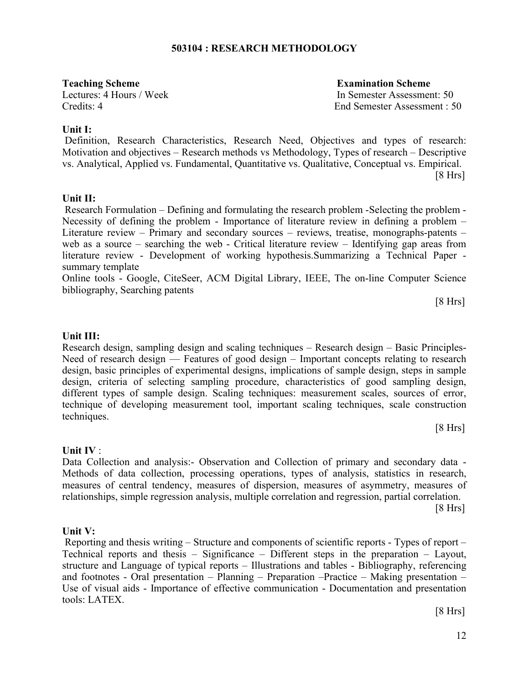## **503104 : RESEARCH METHODOLOGY**

**Teaching Scheme Examination Scheme** 

Lectures: 4 Hours / Week In Semester Assessment: 50 Credits: 4 End Semester Assessment : 50

## **Unit I:**

Definition, Research Characteristics, Research Need, Objectives and types of research: Motivation and objectives – Research methods vs Methodology, Types of research – Descriptive vs. Analytical, Applied vs. Fundamental, Quantitative vs. Qualitative, Conceptual vs. Empirical. [8 Hrs]

## **Unit II:**

Research Formulation – Defining and formulating the research problem -Selecting the problem - Necessity of defining the problem - Importance of literature review in defining a problem – Literature review – Primary and secondary sources – reviews, treatise, monographs-patents – web as a source – searching the web - Critical literature review – Identifying gap areas from literature review - Development of working hypothesis.Summarizing a Technical Paper summary template

Online tools - Google, CiteSeer, ACM Digital Library, IEEE, The on-line Computer Science bibliography, Searching patents

[8 Hrs]

## **Unit III:**

Research design, sampling design and scaling techniques – Research design – Basic Principles-Need of research design –– Features of good design – Important concepts relating to research design, basic principles of experimental designs, implications of sample design, steps in sample design, criteria of selecting sampling procedure, characteristics of good sampling design, different types of sample design. Scaling techniques: measurement scales, sources of error, technique of developing measurement tool, important scaling techniques, scale construction techniques.

 $[8 Hrs]$ 

## **Unit IV** :

Data Collection and analysis:- Observation and Collection of primary and secondary data - Methods of data collection, processing operations, types of analysis, statistics in research, measures of central tendency, measures of dispersion, measures of asymmetry, measures of relationships, simple regression analysis, multiple correlation and regression, partial correlation.

 $[8 Hrs]$ 

## **Unit V:**

Reporting and thesis writing – Structure and components of scientific reports - Types of report – Technical reports and thesis – Significance – Different steps in the preparation – Layout, structure and Language of typical reports – Illustrations and tables - Bibliography, referencing and footnotes - Oral presentation – Planning – Preparation –Practice – Making presentation – Use of visual aids - Importance of effective communication - Documentation and presentation tools: LATEX.

[8 Hrs]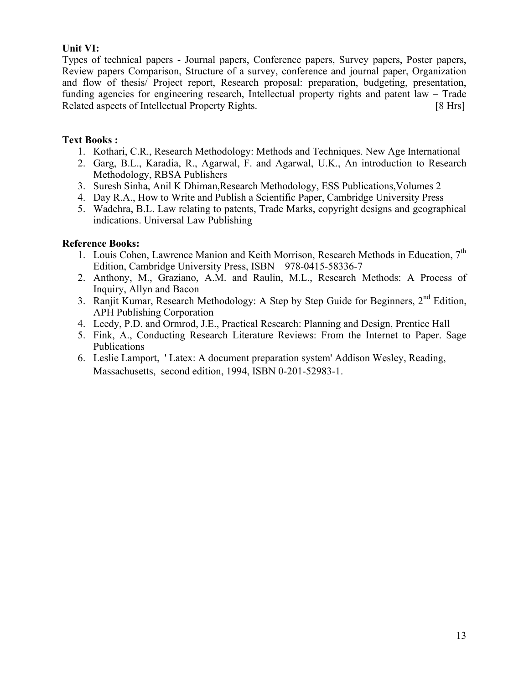## **Unit VI:**

Types of technical papers - Journal papers, Conference papers, Survey papers, Poster papers, Review papers Comparison, Structure of a survey, conference and journal paper, Organization and flow of thesis/ Project report, Research proposal: preparation, budgeting, presentation, funding agencies for engineering research, Intellectual property rights and patent law – Trade Related aspects of Intellectual Property Rights. [8 Hrs]

## **Text Books :**

- 1. Kothari, C.R., Research Methodology: Methods and Techniques. New Age International
- 2. Garg, B.L., Karadia, R., Agarwal, F. and Agarwal, U.K., An introduction to Research Methodology, RBSA Publishers
- 3. Suresh Sinha, Anil K Dhiman,Research Methodology, ESS Publications,Volumes 2
- 4. Day R.A., How to Write and Publish a Scientific Paper, Cambridge University Press
- 5. Wadehra, B.L. Law relating to patents, Trade Marks, copyright designs and geographical indications. Universal Law Publishing

- 1. Louis Cohen, Lawrence Manion and Keith Morrison, Research Methods in Education, 7<sup>th</sup> Edition, Cambridge University Press, ISBN – 978-0415-58336-7
- 2. Anthony, M., Graziano, A.M. and Raulin, M.L., Research Methods: A Process of Inquiry, Allyn and Bacon
- 3. Ranjit Kumar, Research Methodology: A Step by Step Guide for Beginners,  $2<sup>nd</sup>$  Edition, APH Publishing Corporation
- 4. Leedy, P.D. and Ormrod, J.E., Practical Research: Planning and Design, Prentice Hall
- 5. Fink, A., Conducting Research Literature Reviews: From the Internet to Paper. Sage Publications
- 6. Leslie Lamport, ' Latex: A document preparation system' Addison Wesley, Reading, Massachusetts, second edition, 1994, ISBN 0-201-52983-1.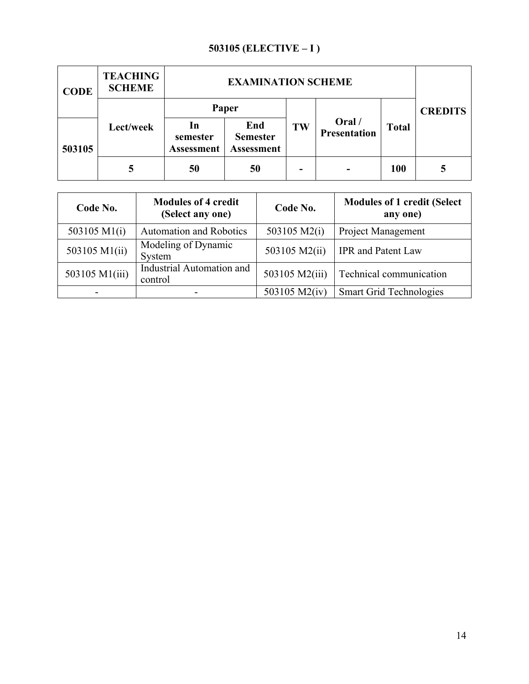## **503105 (ELECTIVE – I )**

| <b>CODE</b> | <b>TEACHING</b><br><b>SCHEME</b> |                                     | <b>EXAMINATION SCHEME</b>                   |    |                        |              |                |
|-------------|----------------------------------|-------------------------------------|---------------------------------------------|----|------------------------|--------------|----------------|
|             |                                  |                                     | Paper                                       |    |                        |              | <b>CREDITS</b> |
| 503105      | Lect/week                        | 1n<br>semester<br><b>Assessment</b> | End<br><b>Semester</b><br><b>Assessment</b> | TW | Oral /<br>Presentation | <b>Total</b> |                |
|             |                                  | 50                                  | 50                                          |    |                        | <b>100</b>   |                |

| Code No.       | <b>Modules of 4 credit</b><br>(Select any one) | Code No.       | <b>Modules of 1 credit (Select</b><br>any one) |
|----------------|------------------------------------------------|----------------|------------------------------------------------|
| 503105 M1(i)   | <b>Automation and Robotics</b>                 | 503105 M2(i)   | <b>Project Management</b>                      |
| 503105 M1(ii)  | Modeling of Dynamic<br>System                  | 503105 M2(ii)  | <b>IPR</b> and Patent Law                      |
| 503105 M1(iii) | Industrial Automation and<br>control           | 503105 M2(iii) | Technical communication                        |
|                |                                                | 503105 M2(iv)  | <b>Smart Grid Technologies</b>                 |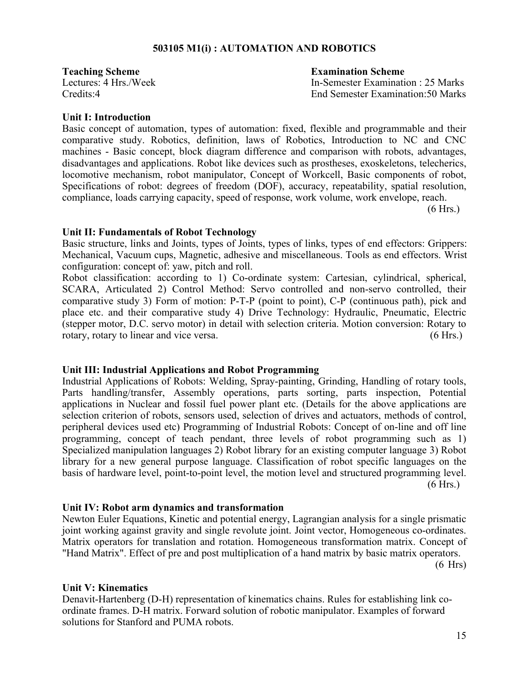## **503105 M1(i) : AUTOMATION AND ROBOTICS**

**Teaching Scheme Examination Scheme**

Lectures: 4 Hrs./Week In-Semester Examination : 25 Marks Credits:4 End Semester Examination:50 Marks

## **Unit I: Introduction**

Basic concept of automation, types of automation: fixed, flexible and programmable and their comparative study. Robotics, definition, laws of Robotics, Introduction to NC and CNC machines - Basic concept, block diagram difference and comparison with robots, advantages, disadvantages and applications. Robot like devices such as prostheses, exoskeletons, telecherics, locomotive mechanism, robot manipulator, Concept of Workcell, Basic components of robot, Specifications of robot: degrees of freedom (DOF), accuracy, repeatability, spatial resolution, compliance, loads carrying capacity, speed of response, work volume, work envelope, reach.

(6 Hrs.)

#### **Unit II: Fundamentals of Robot Technology**

Basic structure, links and Joints, types of Joints, types of links, types of end effectors: Grippers: Mechanical, Vacuum cups, Magnetic, adhesive and miscellaneous. Tools as end effectors. Wrist configuration: concept of: yaw, pitch and roll.

Robot classification: according to 1) Co-ordinate system: Cartesian, cylindrical, spherical, SCARA, Articulated 2) Control Method: Servo controlled and non-servo controlled, their comparative study 3) Form of motion: P-T-P (point to point), C-P (continuous path), pick and place etc. and their comparative study 4) Drive Technology: Hydraulic, Pneumatic, Electric (stepper motor, D.C. servo motor) in detail with selection criteria. Motion conversion: Rotary to rotary, rotary to linear and vice versa. (6 Hrs.)

#### **Unit III: Industrial Applications and Robot Programming**

Industrial Applications of Robots: Welding, Spray-painting, Grinding, Handling of rotary tools, Parts handling/transfer, Assembly operations, parts sorting, parts inspection, Potential applications in Nuclear and fossil fuel power plant etc. (Details for the above applications are selection criterion of robots, sensors used, selection of drives and actuators, methods of control, peripheral devices used etc) Programming of Industrial Robots: Concept of on-line and off line programming, concept of teach pendant, three levels of robot programming such as 1) Specialized manipulation languages 2) Robot library for an existing computer language 3) Robot library for a new general purpose language. Classification of robot specific languages on the basis of hardware level, point-to-point level, the motion level and structured programming level. (6 Hrs.)

#### **Unit IV: Robot arm dynamics and transformation**

Newton Euler Equations, Kinetic and potential energy, Lagrangian analysis for a single prismatic joint working against gravity and single revolute joint. Joint vector, Homogeneous co-ordinates. Matrix operators for translation and rotation. Homogeneous transformation matrix. Concept of "Hand Matrix". Effect of pre and post multiplication of a hand matrix by basic matrix operators.  $(6$  Hrs $)$ 

#### **Unit V: Kinematics**

Denavit-Hartenberg (D-H) representation of kinematics chains. Rules for establishing link coordinate frames. D-H matrix. Forward solution of robotic manipulator. Examples of forward solutions for Stanford and PUMA robots.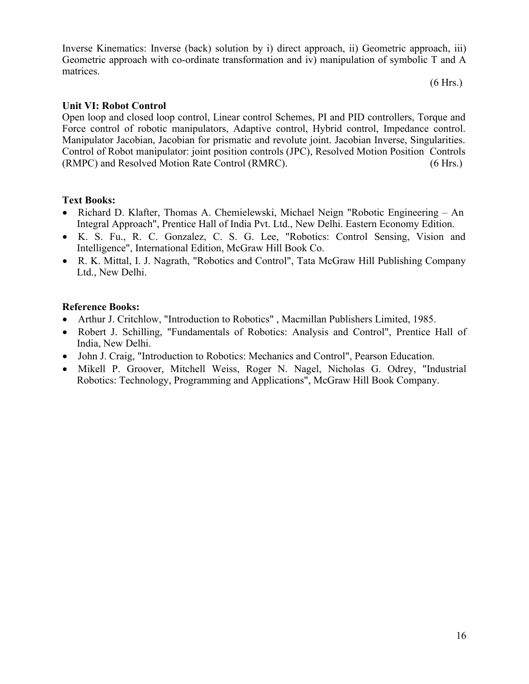Inverse Kinematics: Inverse (back) solution by i) direct approach, ii) Geometric approach, iii) Geometric approach with co-ordinate transformation and iv) manipulation of symbolic T and A matrices.

(6 Hrs.)

## **Unit VI: Robot Control**

Open loop and closed loop control, Linear control Schemes, PI and PID controllers, Torque and Force control of robotic manipulators, Adaptive control, Hybrid control, Impedance control. Manipulator Jacobian, Jacobian for prismatic and revolute joint. Jacobian Inverse, Singularities. Control of Robot manipulator: joint position controls (JPC), Resolved Motion Position Controls (RMPC) and Resolved Motion Rate Control (RMRC). (6 Hrs.)

## **Text Books:**

- Richard D. Klafter, Thomas A. Chemielewski, Michael Neign "Robotic Engineering An Integral Approach", Prentice Hall of India Pvt. Ltd., New Delhi. Eastern Economy Edition.
- K. S. Fu., R. C. Gonzalez, C. S. G. Lee, "Robotics: Control Sensing, Vision and Intelligence", International Edition, McGraw Hill Book Co.
- R. K. Mittal, I. J. Nagrath, "Robotics and Control", Tata McGraw Hill Publishing Company Ltd., New Delhi.

- Arthur J. Critchlow, "Introduction to Robotics" , Macmillan Publishers Limited, 1985.
- Robert J. Schilling, "Fundamentals of Robotics: Analysis and Control", Prentice Hall of India, New Delhi.
- John J. Craig, "Introduction to Robotics: Mechanics and Control", Pearson Education.
- Mikell P. Groover, Mitchell Weiss, Roger N. Nagel, Nicholas G. Odrey, "Industrial Robotics: Technology, Programming and Applications", McGraw Hill Book Company.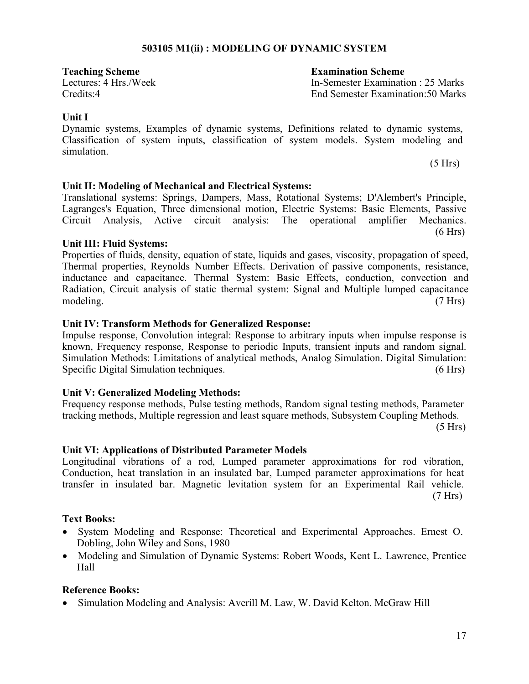## **503105 M1(ii) : MODELING OF DYNAMIC SYSTEM**

**Teaching Scheme Examination Scheme**

Lectures: 4 Hrs./Week In-Semester Examination : 25 Marks Credits:4 End Semester Examination:50 Marks

 $(5 Hrs)$ 

## **Unit I**

Dynamic systems, Examples of dynamic systems, Definitions related to dynamic systems, Classification of system inputs, classification of system models. System modeling and simulation.

## **Unit II: Modeling of Mechanical and Electrical Systems:**

Translational systems: Springs, Dampers, Mass, Rotational Systems; D'Alembert's Principle, Lagranges's Equation, Three dimensional motion, Electric Systems: Basic Elements, Passive Circuit Analysis, Active circuit analysis: The operational amplifier Mechanics.  $(6 Hrs)$ 

## **Unit III: Fluid Systems:**

Properties of fluids, density, equation of state, liquids and gases, viscosity, propagation of speed, Thermal properties, Reynolds Number Effects. Derivation of passive components, resistance, inductance and capacitance. Thermal System: Basic Effects, conduction, convection and Radiation, Circuit analysis of static thermal system: Signal and Multiple lumped capacitance modeling. (7 Hrs)

## **Unit IV: Transform Methods for Generalized Response:**

Impulse response, Convolution integral: Response to arbitrary inputs when impulse response is known, Frequency response, Response to periodic Inputs, transient inputs and random signal. Simulation Methods: Limitations of analytical methods, Analog Simulation. Digital Simulation: Specific Digital Simulation techniques. (6 Hrs)

## **Unit V: Generalized Modeling Methods:**

Frequency response methods, Pulse testing methods, Random signal testing methods, Parameter tracking methods, Multiple regression and least square methods, Subsystem Coupling Methods.  $(5 Hrs)$ 

## **Unit VI: Applications of Distributed Parameter Models**

Longitudinal vibrations of a rod, Lumped parameter approximations for rod vibration, Conduction, heat translation in an insulated bar, Lumped parameter approximations for heat transfer in insulated bar. Magnetic levitation system for an Experimental Rail vehicle. (7 Hrs)

## **Text Books:**

- System Modeling and Response: Theoretical and Experimental Approaches. Ernest O. Dobling, John Wiley and Sons, 1980
- Modeling and Simulation of Dynamic Systems: Robert Woods, Kent L. Lawrence, Prentice Hall

## **Reference Books:**

Simulation Modeling and Analysis: Averill M. Law, W. David Kelton. McGraw Hill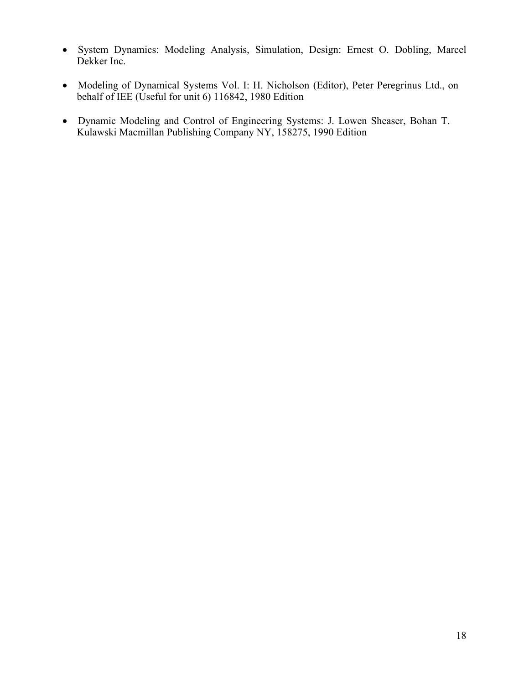- System Dynamics: Modeling Analysis, Simulation, Design: Ernest O. Dobling, Marcel Dekker Inc.
- Modeling of Dynamical Systems Vol. I: H. Nicholson (Editor), Peter Peregrinus Ltd., on behalf of IEE (Useful for unit 6) 116842, 1980 Edition
- Dynamic Modeling and Control of Engineering Systems: J. Lowen Sheaser, Bohan T. Kulawski Macmillan Publishing Company NY, 158275, 1990 Edition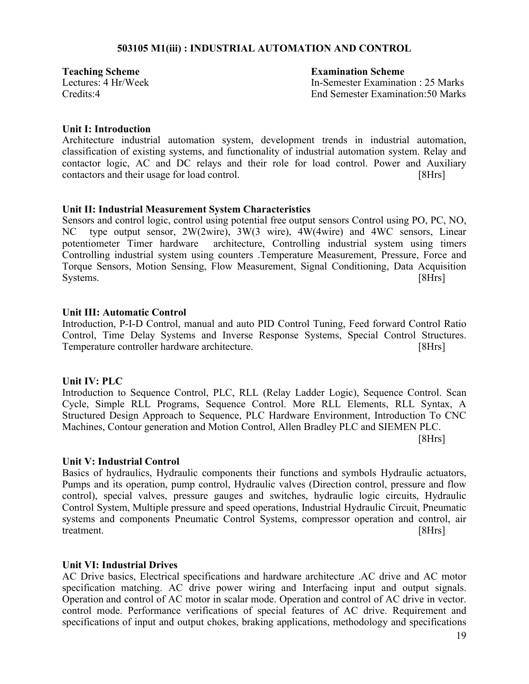## **503105 M1(iii) : INDUSTRIAL AUTOMATION AND CONTROL**

**Teaching Scheme** Examination Scheme

Lectures: 4 Hr/Week In-Semester Examination : 25 Marks Credits:4 End Semester Examination:50 Marks

## **Unit I: Introduction**

Architecture industrial automation system, development trends in industrial automation, classification of existing systems, and functionality of industrial automation system. Relay and contactor logic, AC and DC relays and their role for load control. Power and Auxiliary contactors and their usage for load control. [8Hrs]

## **Unit II: Industrial Measurement System Characteristics**

Sensors and control logic, control using potential free output sensors Control using PO, PC, NO, NC type output sensor, 2W(2wire), 3W(3 wire), 4W(4wire) and 4WC sensors, Linear potentiometer Timer hardware architecture, Controlling industrial system using timers Controlling industrial system using counters .Temperature Measurement, Pressure, Force and Torque Sensors, Motion Sensing, Flow Measurement, Signal Conditioning, Data Acquisition Systems. [8Hrs]

#### **Unit III: Automatic Control**

Introduction, P-I-D Control, manual and auto PID Control Tuning, Feed forward Control Ratio Control, Time Delay Systems and Inverse Response Systems, Special Control Structures. Temperature controller hardware architecture. [8Hrs]

#### **Unit IV: PLC**

Introduction to Sequence Control, PLC, RLL (Relay Ladder Logic), Sequence Control. Scan Cycle, Simple RLL Programs, Sequence Control. More RLL Elements, RLL Syntax, A Structured Design Approach to Sequence, PLC Hardware Environment, Introduction To CNC Machines, Contour generation and Motion Control, Allen Bradley PLC and SIEMEN PLC. [8Hrs]

#### **Unit V: Industrial Control**

Basics of hydraulics, Hydraulic components their functions and symbols Hydraulic actuators, Pumps and its operation, pump control, Hydraulic valves (Direction control, pressure and flow control), special valves, pressure gauges and switches, hydraulic logic circuits, Hydraulic Control System, Multiple pressure and speed operations, Industrial Hydraulic Circuit, Pneumatic systems and components Pneumatic Control Systems, compressor operation and control, air treatment. [8Hrs]

## **Unit VI: Industrial Drives**

AC Drive basics, Electrical specifications and hardware architecture .AC drive and AC motor specification matching. AC drive power wiring and Interfacing input and output signals. Operation and control of AC motor in scalar mode. Operation and control of AC drive in vector. control mode. Performance verifications of special features of AC drive. Requirement and specifications of input and output chokes, braking applications, methodology and specifications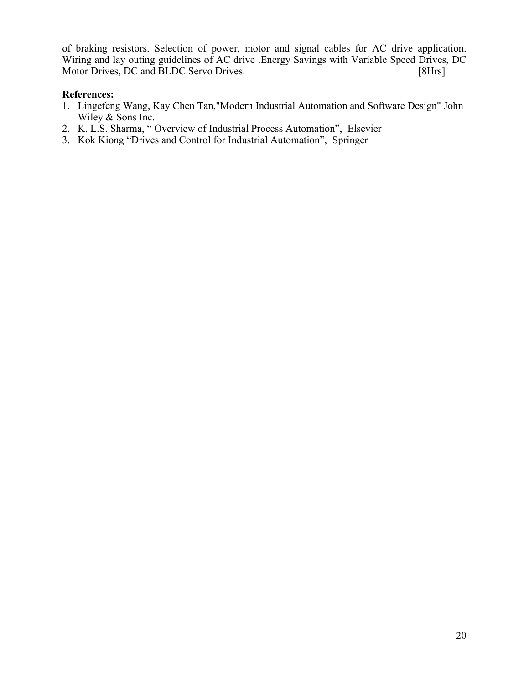of braking resistors. Selection of power, motor and signal cables for AC drive application. Wiring and lay outing guidelines of AC drive .Energy Savings with Variable Speed Drives, DC Motor Drives, DC and BLDC Servo Drives. [8Hrs]

## **References:**

- 1. Lingefeng Wang, Kay Chen Tan,"Modern Industrial Automation and Software Design" John Wiley & Sons Inc.
- 2. K. L.S. Sharma, " Overview of Industrial Process Automation", Elsevier
- 3. Kok Kiong "Drives and Control for Industrial Automation", Springer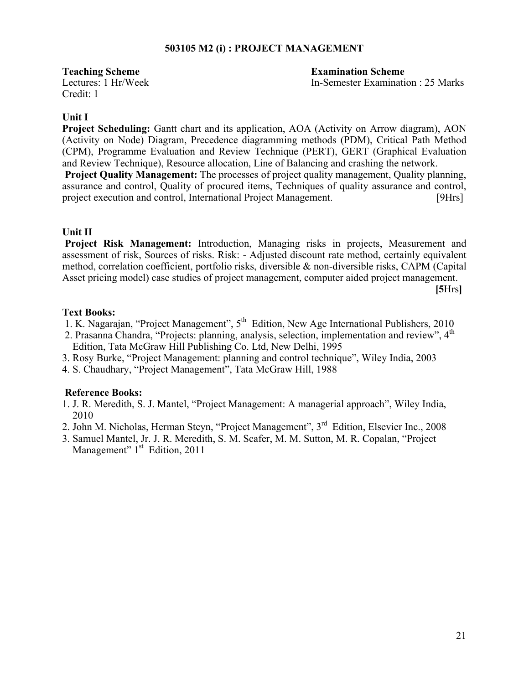## **503105 M2 (i) : PROJECT MANAGEMENT**

Credit: 1

**Teaching Scheme Examination Scheme** Lectures: 1 Hr/Week In-Semester Examination : 25 Marks

## **Unit I**

**Project Scheduling:** Gantt chart and its application, AOA (Activity on Arrow diagram), AON (Activity on Node) Diagram, Precedence diagramming methods (PDM), Critical Path Method (CPM), Programme Evaluation and Review Technique (PERT), GERT (Graphical Evaluation and Review Technique), Resource allocation, Line of Balancing and crashing the network.

**Project Quality Management:** The processes of project quality management, Quality planning, assurance and control, Quality of procured items, Techniques of quality assurance and control, project execution and control, International Project Management. [9Hrs]

## **Unit II**

**Project Risk Management:** Introduction, Managing risks in projects, Measurement and assessment of risk, Sources of risks. Risk: - Adjusted discount rate method, certainly equivalent method, correlation coefficient, portfolio risks, diversible & non-diversible risks, CAPM (Capital Asset pricing model) case studies of project management, computer aided project management.

**[5**Hrs**]**

## **Text Books:**

- 1. K. Nagarajan, "Project Management",  $5<sup>th</sup>$  Edition, New Age International Publishers, 2010
- 2. Prasanna Chandra, "Projects: planning, analysis, selection, implementation and review", 4<sup>th</sup> Edition, Tata McGraw Hill Publishing Co. Ltd, New Delhi, 1995
- 3. Rosy Burke, "Project Management: planning and control technique", Wiley India, 2003
- 4. S. Chaudhary, "Project Management", Tata McGraw Hill, 1988

- 1. J. R. Meredith, S. J. Mantel, "Project Management: A managerial approach", Wiley India, 2010
- 2. John M. Nicholas, Herman Steyn, "Project Management", 3rd Edition, Elsevier Inc., 2008
- 3. Samuel Mantel, Jr. J. R. Meredith, S. M. Scafer, M. M. Sutton, M. R. Copalan, "Project Management"  $1<sup>st</sup>$  Edition, 2011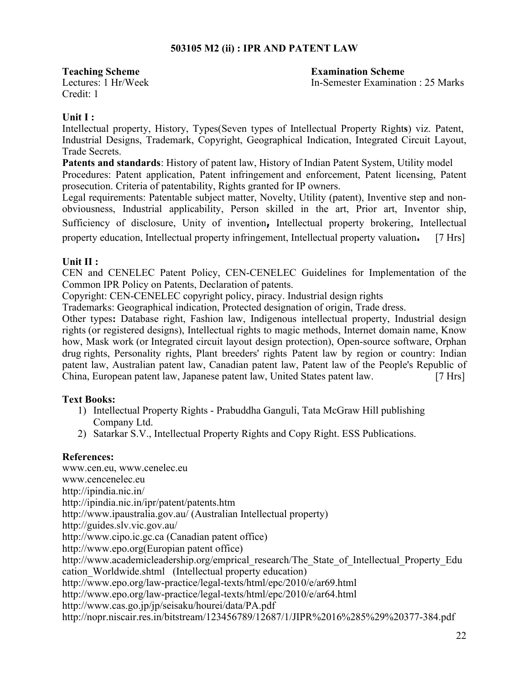## **503105 M2 (ii) : IPR AND PATENT LAW**

Credit: 1

**Teaching Scheme Examination Scheme** Lectures: 1 Hr/Week In-Semester Examination : 25 Marks

## **Unit I :**

Intellectual property, History, Types(Seven types of Intellectual Property Right**s**) viz. Patent, Industrial Designs, Trademark, Copyright, Geographical Indication, Integrated Circuit Layout, Trade Secrets.

**Patents and standards**: History of patent law, History of Indian Patent System, Utility model Procedures: Patent application, Patent infringement and enforcement, Patent licensing, Patent prosecution. Criteria of patentability, Rights granted for IP owners.

Legal requirements: Patentable subject matter, Novelty, Utility (patent), Inventive step and nonobviousness, Industrial applicability, Person skilled in the art, Prior art, Inventor ship, Sufficiency of disclosure, Unity of invention**,** Intellectual property brokering, Intellectual property education, Intellectual property infringement, Intellectual property valuation**.** [7 Hrs]

## **Unit II :**

CEN and CENELEC Patent Policy, CEN-CENELEC Guidelines for Implementation of the Common IPR Policy on Patents, Declaration of patents.

Copyright: CEN-CENELEC copyright policy, piracy. Industrial design rights

Trademarks: Geographical indication, Protected designation of origin, Trade dress.

Other types**:** Database right, Fashion law, Indigenous intellectual property, Industrial design rights (or registered designs), Intellectual rights to magic methods, Internet domain name, Know how, Mask work (or Integrated circuit layout design protection), Open-source software, Orphan drug rights, Personality rights, Plant breeders' rights Patent law by region or country: Indian patent law, Australian patent law, Canadian patent law, Patent law of the People's Republic of China, European patent law, Japanese patent law, United States patent law.[7 Hrs]

## **Text Books:**

- 1) Intellectual Property Rights Prabuddha Ganguli, Tata McGraw Hill publishing Company Ltd.
- 2) Satarkar S.V., Intellectual Property Rights and Copy Right. ESS Publications.

## **References:**

www.cen.eu, www.cenelec.eu www.cencenelec.eu http://ipindia.nic.in/ http://ipindia.nic.in/ipr/patent/patents.htm http://www.ipaustralia.gov.au/ (Australian Intellectual property) http://guides.slv.vic.gov.au/ http://www.cipo.ic.gc.ca (Canadian patent office) http://www.epo.org(Europian patent office) http://www.academicleadership.org/emprical\_research/The\_State\_of\_Intellectual\_Property\_Edu cation\_Worldwide.shtml (Intellectual property education) http://www.epo.org/law-practice/legal-texts/html/epc/2010/e/ar69.html http://www.epo.org/law-practice/legal-texts/html/epc/2010/e/ar64.html http://www.cas.go.jp/jp/seisaku/hourei/data/PA.pdf http://nopr.niscair.res.in/bitstream/123456789/12687/1/JIPR%2016%285%29%20377-384.pdf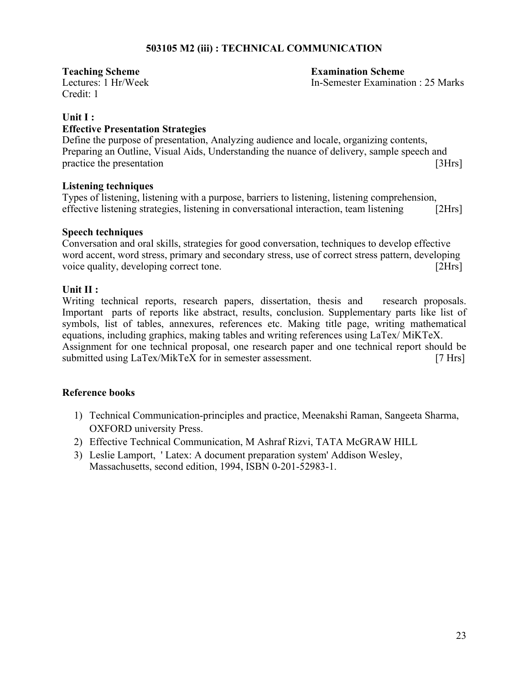## **503105 M2 (iii) : TECHNICAL COMMUNICATION**

Credit: 1

**Teaching Scheme Examination Scheme** Lectures: 1 Hr/Week In-Semester Examination : 25 Marks

## **Unit I :**

## **Effective Presentation Strategies**

Define the purpose of presentation, Analyzing audience and locale, organizing contents, Preparing an Outline, Visual Aids, Understanding the nuance of delivery, sample speech and practice the presentation [3Hrs]

## **Listening techniques**

Types of listening, listening with a purpose, barriers to listening, listening comprehension, effective listening strategies, listening in conversational interaction, team listening [2Hrs]

## **Speech techniques**

Conversation and oral skills, strategies for good conversation, techniques to develop effective word accent, word stress, primary and secondary stress, use of correct stress pattern, developing voice quality, developing correct tone. [2Hrs]

## **Unit II :**

Writing technical reports, research papers, dissertation, thesis and research proposals. Important parts of reports like abstract, results, conclusion. Supplementary parts like list of symbols, list of tables, annexures, references etc. Making title page, writing mathematical equations, including graphics, making tables and writing references using LaTex/ MiKTeX. Assignment for one technical proposal, one research paper and one technical report should be submitted using LaTex/MikTeX for in semester assessment. [7 Hrs]

- 1) Technical Communication-principles and practice, Meenakshi Raman, Sangeeta Sharma, OXFORD university Press.
- 2) Effective Technical Communication, M Ashraf Rizvi, TATA McGRAW HILL
- 3) Leslie Lamport, ' Latex: A document preparation system' Addison Wesley, Massachusetts, second edition, 1994, ISBN 0-201-52983-1.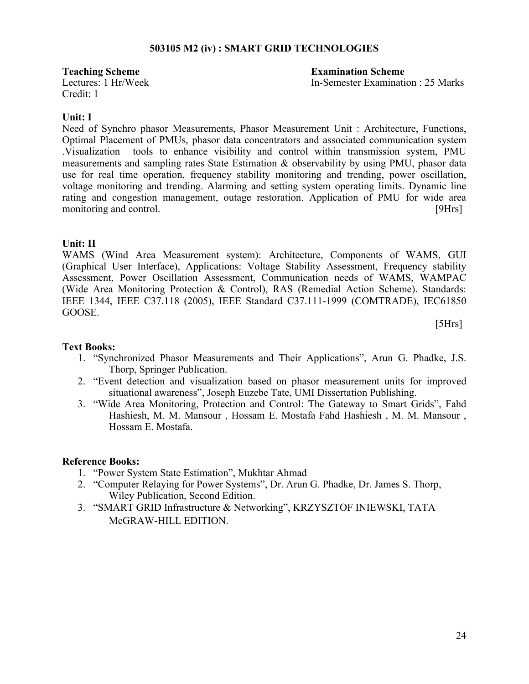## **503105 M2 (iv) : SMART GRID TECHNOLOGIES**

Credit: 1

**Teaching Scheme Examination Scheme** Lectures: 1 Hr/Week In-Semester Examination : 25 Marks

## **Unit: I**

Need of Synchro phasor Measurements, Phasor Measurement Unit : Architecture, Functions, Optimal Placement of PMUs, phasor data concentrators and associated communication system .Visualization tools to enhance visibility and control within transmission system, PMU measurements and sampling rates State Estimation & observability by using PMU, phasor data use for real time operation, frequency stability monitoring and trending, power oscillation, voltage monitoring and trending. Alarming and setting system operating limits. Dynamic line rating and congestion management, outage restoration. Application of PMU for wide area monitoring and control. [9Hrs]

## **Unit: II**

WAMS (Wind Area Measurement system): Architecture, Components of WAMS, GUI (Graphical User Interface), Applications: Voltage Stability Assessment, Frequency stability Assessment, Power Oscillation Assessment, Communication needs of WAMS, WAMPAC (Wide Area Monitoring Protection & Control), RAS (Remedial Action Scheme). Standards: IEEE 1344, IEEE C37.118 (2005), IEEE Standard C37.111-1999 (COMTRADE), IEC61850 GOOSE.

[5Hrs]

## **Text Books:**

- 1. "Synchronized Phasor Measurements and Their Applications", Arun G. Phadke, J.S. Thorp, Springer Publication.
- 2. "Event detection and visualization based on phasor measurement units for improved situational awareness", Joseph Euzebe Tate, UMI Dissertation Publishing.
- 3. "Wide Area Monitoring, Protection and Control: The Gateway to Smart Grids", Fahd Hashiesh, M. M. Mansour , Hossam E. Mostafa Fahd Hashiesh , M. M. Mansour , Hossam E. Mostafa.

- 1. "Power System State Estimation", Mukhtar Ahmad
- 2. "Computer Relaying for Power Systems", Dr. Arun G. Phadke, Dr. James S. Thorp, Wiley Publication, Second Edition.
- 3. "SMART GRID Infrastructure & Networking", KRZYSZTOF INIEWSKI, TATA McGRAW-HILL EDITION.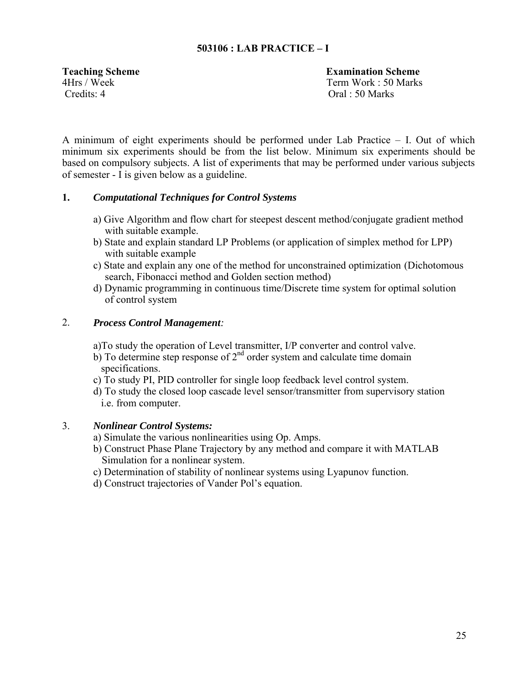## **503106 : LAB PRACTICE – I**

Credits: 4 Oral : 50 Marks

**Teaching Scheme Examination Scheme** 4Hrs / Week Term Work : 50 Marks

A minimum of eight experiments should be performed under Lab Practice – I. Out of which minimum six experiments should be from the list below. Minimum six experiments should be based on compulsory subjects. A list of experiments that may be performed under various subjects of semester - I is given below as a guideline.

## **1.** *Computational Techniques for Control Systems*

- a) Give Algorithm and flow chart for steepest descent method/conjugate gradient method with suitable example.
- b) State and explain standard LP Problems (or application of simplex method for LPP) with suitable example
- c) State and explain any one of the method for unconstrained optimization (Dichotomous search, Fibonacci method and Golden section method)
- d) Dynamic programming in continuous time/Discrete time system for optimal solution of control system

## 2. *Process Control Management:*

a)To study the operation of Level transmitter, I/P converter and control valve.

- b) To determine step response of  $2<sup>nd</sup>$  order system and calculate time domain specifications.
- c) To study PI, PID controller for single loop feedback level control system.
- d) To study the closed loop cascade level sensor/transmitter from supervisory station i.e. from computer.

## 3. *Nonlinear Control Systems:*

- a) Simulate the various nonlinearities using Op. Amps.
- b) Construct Phase Plane Trajectory by any method and compare it with MATLAB Simulation for a nonlinear system.
- c) Determination of stability of nonlinear systems using Lyapunov function.
- d) Construct trajectories of Vander Pol's equation.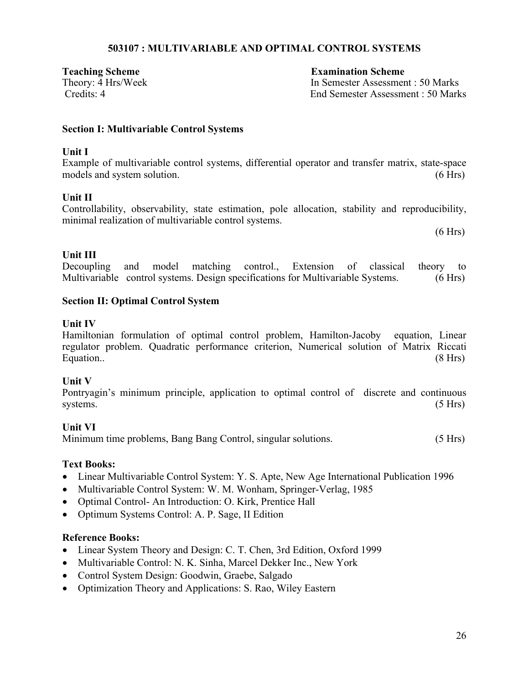## **503107 : MULTIVARIABLE AND OPTIMAL CONTROL SYSTEMS**

**Teaching Scheme Examination Scheme**

Theory: 4 Hrs/Week In Semester Assessment : 50 Marks Credits: 4 End Semester Assessment : 50 Marks

## **Section I: Multivariable Control Systems**

## **Unit I**

Example of multivariable control systems, differential operator and transfer matrix, state-space models and system solution. (6 Hrs) (6 Hrs)

## **Unit II**

Controllability, observability, state estimation, pole allocation, stability and reproducibility, minimal realization of multivariable control systems.

 $(6 Hrs)$ 

## **Unit III**

Decoupling and model matching control., Extension of classical theory to Multivariable control systems. Design specifications for Multivariable Systems. (6 Hrs)

## **Section II: Optimal Control System**

## **Unit IV**

Hamiltonian formulation of optimal control problem, Hamilton-Jacoby equation, Linear regulator problem. Quadratic performance criterion, Numerical solution of Matrix Riccati Equation.. (8 Hrs)

## **Unit V**

Pontryagin's minimum principle, application to optimal control of discrete and continuous systems. (5 Hrs)

## **Unit VI**

Minimum time problems, Bang Bang Control, singular solutions. (5 Hrs)

## **Text Books:**

- Linear Multivariable Control System: Y. S. Apte, New Age International Publication 1996
- Multivariable Control System: W. M. Wonham, Springer-Verlag, 1985
- Optimal Control- An Introduction: O. Kirk, Prentice Hall
- Optimum Systems Control: A. P. Sage, II Edition

- Linear System Theory and Design: C. T. Chen, 3rd Edition, Oxford 1999
- Multivariable Control: N. K. Sinha, Marcel Dekker Inc., New York
- Control System Design: Goodwin, Graebe, Salgado
- Optimization Theory and Applications: S. Rao, Wiley Eastern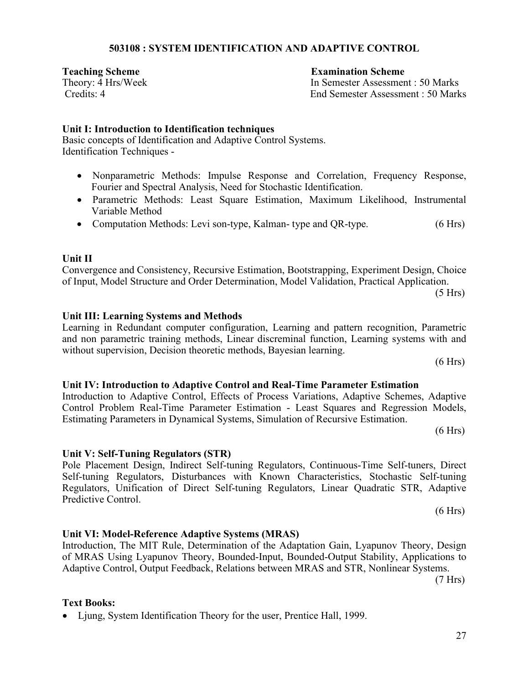## 27

## **503108 : SYSTEM IDENTIFICATION AND ADAPTIVE CONTROL**

**Teaching Scheme Examination Scheme**

Theory: 4 Hrs/Week In Semester Assessment : 50 Marks Credits: 4 End Semester Assessment : 50 Marks

## **Unit I: Introduction to Identification techniques**

Basic concepts of Identification and Adaptive Control Systems. Identification Techniques -

- Nonparametric Methods: Impulse Response and Correlation, Frequency Response, Fourier and Spectral Analysis, Need for Stochastic Identification.
- Parametric Methods: Least Square Estimation, Maximum Likelihood, Instrumental Variable Method
- Computation Methods: Levi son-type, Kalman- type and QR-type. (6 Hrs)

## **Unit II**

Convergence and Consistency, Recursive Estimation, Bootstrapping, Experiment Design, Choice of Input, Model Structure and Order Determination, Model Validation, Practical Application.

(5 Hrs)

## **Unit III: Learning Systems and Methods**

Learning in Redundant computer configuration, Learning and pattern recognition, Parametric and non parametric training methods, Linear discreminal function, Learning systems with and without supervision, Decision theoretic methods, Bayesian learning.

 $(6 Hrs)$ 

## **Unit IV: Introduction to Adaptive Control and Real-Time Parameter Estimation**

## Introduction to Adaptive Control, Effects of Process Variations, Adaptive Schemes, Adaptive Control Problem Real-Time Parameter Estimation - Least Squares and Regression Models, Estimating Parameters in Dynamical Systems, Simulation of Recursive Estimation.

 $(6 Hrs)$ 

## **Unit V: Self-Tuning Regulators (STR)**

## Pole Placement Design, Indirect Self-tuning Regulators, Continuous-Time Self-tuners, Direct Self-tuning Regulators, Disturbances with Known Characteristics, Stochastic Self-tuning Regulators, Unification of Direct Self-tuning Regulators, Linear Quadratic STR, Adaptive Predictive Control.

Adaptive Control, Output Feedback, Relations between MRAS and STR, Nonlinear Systems.

## **Unit VI: Model-Reference Adaptive Systems (MRAS)**

#### Introduction, The MIT Rule, Determination of the Adaptation Gain, Lyapunov Theory, Design of MRAS Using Lyapunov Theory, Bounded-Input, Bounded-Output Stability, Applications to

## **Text Books:**

• Ljung, System Identification Theory for the user, Prentice Hall, 1999.

(7 Hrs)

 $(6 Hrs)$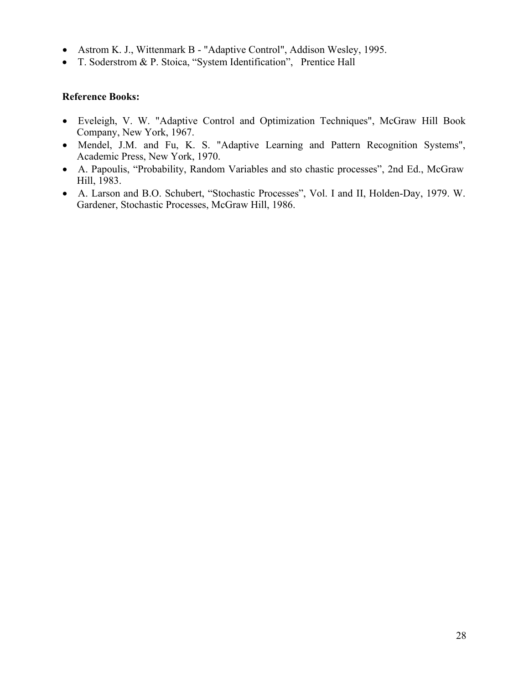- Astrom K. J., Wittenmark B "Adaptive Control", Addison Wesley, 1995.
- T. Soderstrom & P. Stoica, "System Identification", Prentice Hall

- Eveleigh, V. W. "Adaptive Control and Optimization Techniques", McGraw Hill Book Company, New York, 1967.
- Mendel, J.M. and Fu, K. S. "Adaptive Learning and Pattern Recognition Systems", Academic Press, New York, 1970.
- A. Papoulis, "Probability, Random Variables and sto chastic processes", 2nd Ed., McGraw Hill, 1983.
- A. Larson and B.O. Schubert, "Stochastic Processes", Vol. I and II, Holden-Day, 1979. W. Gardener, Stochastic Processes, McGraw Hill, 1986.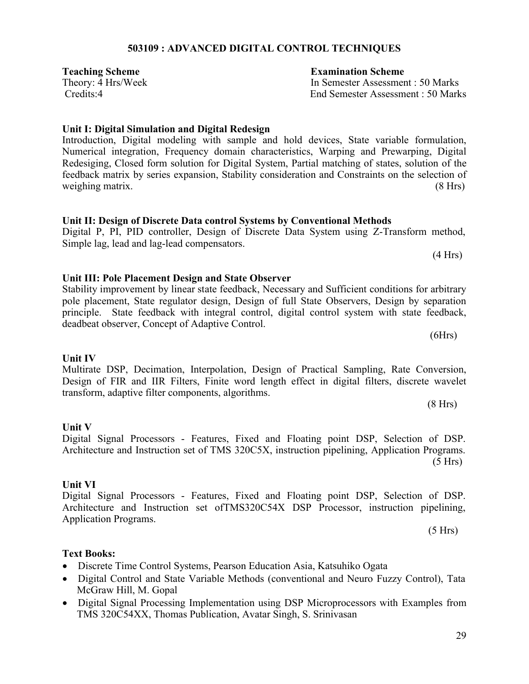## **503109 : ADVANCED DIGITAL CONTROL TECHNIQUES**

**Teaching Scheme Examination Scheme**

**Unit I: Digital Simulation and Digital Redesign** Introduction, Digital modeling with sample and hold devices, State variable formulation,

Numerical integration, Frequency domain characteristics, Warping and Prewarping, Digital Redesiging, Closed form solution for Digital System, Partial matching of states, solution of the feedback matrix by series expansion, Stability consideration and Constraints on the selection of weighing matrix. (8 Hrs)

## **Unit II: Design of Discrete Data control Systems by Conventional Methods**

Digital P, PI, PID controller, Design of Discrete Data System using Z-Transform method, Simple lag, lead and lag-lead compensators. (4 Hrs)

pole placement, State regulator design, Design of full State Observers, Design by separation principle. State feedback with integral control, digital control system with state feedback,

**Unit III: Pole Placement Design and State Observer** Stability improvement by linear state feedback, Necessary and Sufficient conditions for arbitrary

deadbeat observer, Concept of Adaptive Control.

# **Unit IV**

Multirate DSP, Decimation, Interpolation, Design of Practical Sampling, Rate Conversion, Design of FIR and IIR Filters, Finite word length effect in digital filters, discrete wavelet transform, adaptive filter components, algorithms.

Digital Signal Processors - Features, Fixed and Floating point DSP, Selection of DSP. Architecture and Instruction set of TMS 320C5X, instruction pipelining, Application Programs. (5 Hrs)

## **Unit VI**

**Unit V**

Digital Signal Processors - Features, Fixed and Floating point DSP, Selection of DSP. Architecture and Instruction set ofTMS320C54X DSP Processor, instruction pipelining, Application Programs.

**Text Books:** Discrete Time Control Systems, Pearson Education Asia, Katsuhiko Ogata

- Digital Control and State Variable Methods (conventional and Neuro Fuzzy Control), Tata McGraw Hill, M. Gopal
- Digital Signal Processing Implementation using DSP Microprocessors with Examples from TMS 320C54XX, Thomas Publication, Avatar Singh, S. Srinivasan

Theory: 4 Hrs/Week In Semester Assessment : 50 Marks Credits:4 End Semester Assessment : 50 Marks

 $(6Hrs)$ 

(8 Hrs)

 $(5 Hrs)$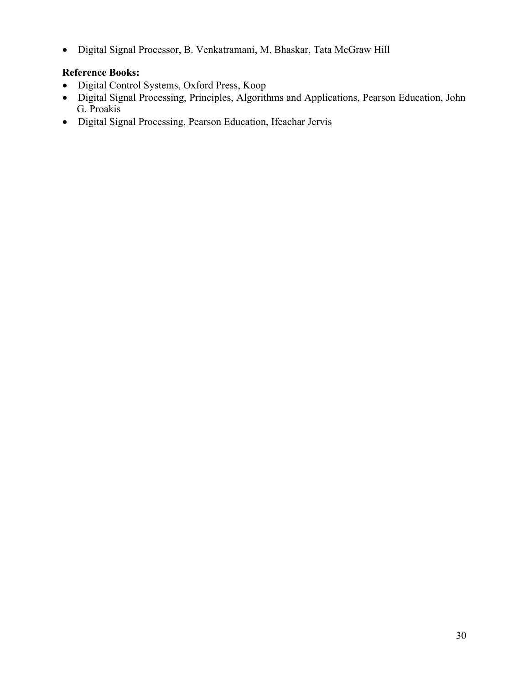Digital Signal Processor, B. Venkatramani, M. Bhaskar, Tata McGraw Hill

- Digital Control Systems, Oxford Press, Koop
- Digital Signal Processing, Principles, Algorithms and Applications, Pearson Education, John G. Proakis
- Digital Signal Processing, Pearson Education, Ifeachar Jervis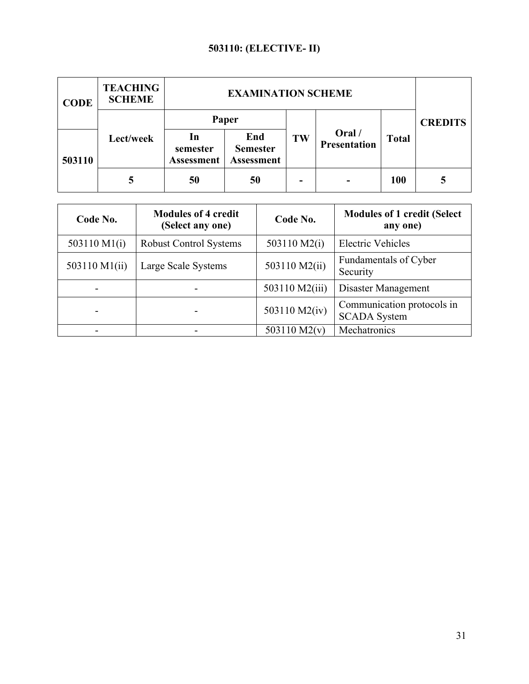## **503110: (ELECTIVE- II)**

| <b>CODE</b> | <b>TEACHING</b><br><b>SCHEME</b> |                               | <b>EXAMINATION SCHEME</b>            |    |                               |              |                |
|-------------|----------------------------------|-------------------------------|--------------------------------------|----|-------------------------------|--------------|----------------|
|             | Lect/week                        | In                            | Paper<br>End                         | TW | Oral /<br><b>Presentation</b> | <b>Total</b> | <b>CREDITS</b> |
| 503110      |                                  | semester<br><b>Assessment</b> | <b>Semester</b><br><b>Assessment</b> |    |                               |              |                |
|             |                                  | 50                            | 50                                   |    |                               | <b>100</b>   |                |

| Code No.       | <b>Modules of 4 credit</b><br>(Select any one) | Code No.       | <b>Modules of 1 credit (Select</b> )<br>any one)  |
|----------------|------------------------------------------------|----------------|---------------------------------------------------|
| 503110 $M1(i)$ | <b>Robust Control Systems</b>                  | 503110 M2(i)   | <b>Electric Vehicles</b>                          |
| 503110 M1(ii)  | Large Scale Systems                            | 503110 M2(ii)  | Fundamentals of Cyber<br>Security                 |
|                |                                                | 503110 M2(iii) | Disaster Management                               |
|                |                                                | 503110 M2(iv)  | Communication protocols in<br><b>SCADA System</b> |
|                |                                                | 503110 $M2(v)$ | Mechatronics                                      |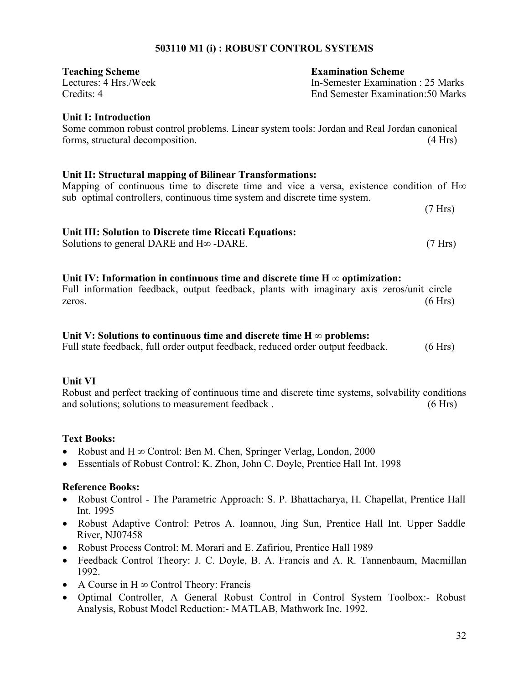## **503110 M1 (i) : ROBUST CONTROL SYSTEMS**

| <b>Teaching Scheme</b> | <b>Examination Scheme</b>          |
|------------------------|------------------------------------|
| Lectures: 4 Hrs./Week  | In-Semester Examination : 25 Marks |
| Credits: 4             | End Semester Examination: 50 Marks |

## **Unit I: Introduction**

Some common robust control problems. Linear system tools: Jordan and Real Jordan canonical forms, structural decomposition. (4 Hrs)

## **Unit II: Structural mapping of Bilinear Transformations:**

Mapping of continuous time to discrete time and vice a versa, existence condition of H∞ sub optimal controllers, continuous time system and discrete time system.

(7 Hrs)

## **Unit III: Solution to Discrete time Riccati Equations:**

Solutions to general DARE and  $H\infty$  -DARE. (7 Hrs)

## Unit IV: Information in continuous time and discrete time  $H \infty$  optimization:

Full information feedback, output feedback, plants with imaginary axis zeros/unit circle zeros. (6 Hrs)

## **Unit V: Solutions to continuous time and discrete time H ∞ problems:**

Full state feedback, full order output feedback, reduced order output feedback.  $(6 Hrs)$ 

## **Unit VI**

Robust and perfect tracking of continuous time and discrete time systems, solvability conditions and solutions; solutions to measurement feedback . (6 Hrs)

## **Text Books:**

- Robust and H ∞ Control: Ben M. Chen, Springer Verlag, London, 2000
- Essentials of Robust Control: K. Zhon, John C. Doyle, Prentice Hall Int. 1998

- Robust Control The Parametric Approach: S. P. Bhattacharya, H. Chapellat, Prentice Hall Int. 1995
- Robust Adaptive Control: Petros A. Ioannou, Jing Sun, Prentice Hall Int. Upper Saddle River, NJ07458
- Robust Process Control: M. Morari and E. Zafiriou, Prentice Hall 1989
- Feedback Control Theory: J. C. Doyle, B. A. Francis and A. R. Tannenbaum, Macmillan 1992.
- A Course in H ∞ Control Theory: Francis
- Optimal Controller, A General Robust Control in Control System Toolbox:- Robust Analysis, Robust Model Reduction:- MATLAB, Mathwork Inc. 1992.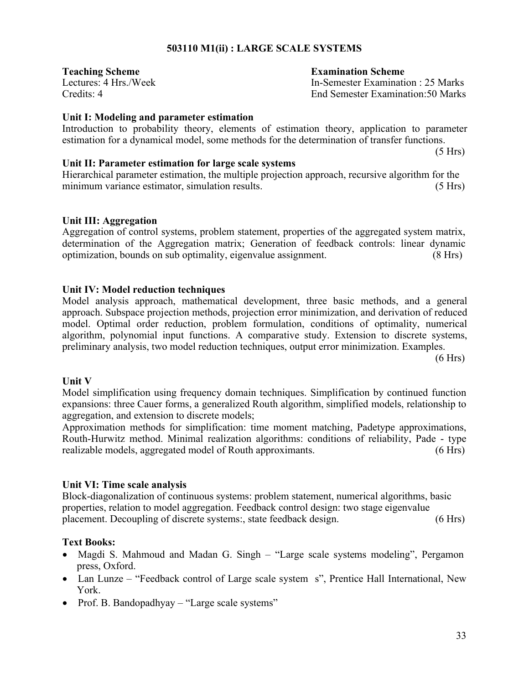## **503110 M1(ii) : LARGE SCALE SYSTEMS**

**Teaching Scheme Examination Scheme**

Lectures: 4 Hrs./Week In-Semester Examination : 25 Marks Credits: 4 End Semester Examination:50 Marks

## **Unit I: Modeling and parameter estimation**

Introduction to probability theory, elements of estimation theory, application to parameter estimation for a dynamical model, some methods for the determination of transfer functions.

(5 Hrs)

## **Unit II: Parameter estimation for large scale systems**

Hierarchical parameter estimation, the multiple projection approach, recursive algorithm for the minimum variance estimator, simulation results. (5 Hrs)

## **Unit III: Aggregation**

Aggregation of control systems, problem statement, properties of the aggregated system matrix, determination of the Aggregation matrix; Generation of feedback controls: linear dynamic optimization, bounds on sub optimality, eigenvalue assignment. (8 Hrs)

## **Unit IV: Model reduction techniques**

Model analysis approach, mathematical development, three basic methods, and a general approach. Subspace projection methods, projection error minimization, and derivation of reduced model. Optimal order reduction, problem formulation, conditions of optimality, numerical algorithm, polynomial input functions. A comparative study. Extension to discrete systems, preliminary analysis, two model reduction techniques, output error minimization. Examples.

(6 Hrs)

## **Unit V**

Model simplification using frequency domain techniques. Simplification by continued function expansions: three Cauer forms, a generalized Routh algorithm, simplified models, relationship to aggregation, and extension to discrete models;

Approximation methods for simplification: time moment matching, Padetype approximations, Routh-Hurwitz method. Minimal realization algorithms: conditions of reliability, Pade - type realizable models, aggregated model of Routh approximants. (6 Hrs)

## **Unit VI: Time scale analysis**

Block-diagonalization of continuous systems: problem statement, numerical algorithms, basic properties, relation to model aggregation. Feedback control design: two stage eigenvalue placement. Decoupling of discrete systems:, state feedback design. (6 Hrs)

## **Text Books:**

- Magdi S. Mahmoud and Madan G. Singh "Large scale systems modeling", Pergamon press, Oxford.
- Lan Lunze "Feedback control of Large scale system s", Prentice Hall International, New York.
- Prof. B. Bandopadhyay "Large scale systems"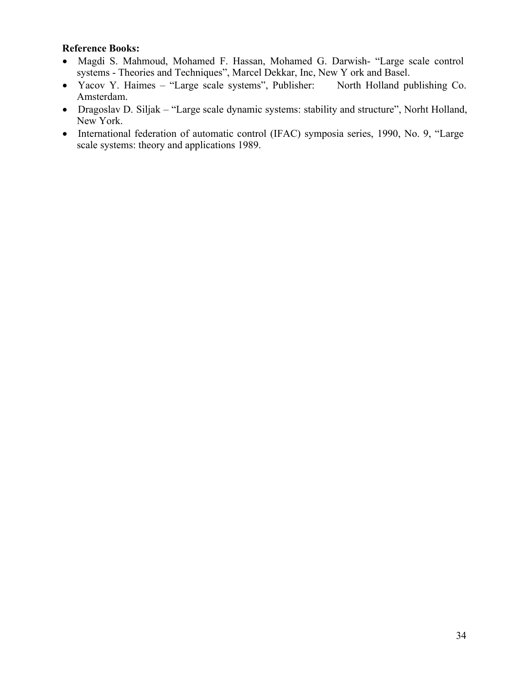- Magdi S. Mahmoud, Mohamed F. Hassan, Mohamed G. Darwish- "Large scale control systems - Theories and Techniques", Marcel Dekkar, Inc, New Y ork and Basel.
- Yacov Y. Haimes "Large scale systems", Publisher: North Holland publishing Co. Amsterdam.
- Dragoslav D. Siljak "Large scale dynamic systems: stability and structure", Norht Holland, New York.
- International federation of automatic control (IFAC) symposia series, 1990, No. 9, "Large scale systems: theory and applications 1989.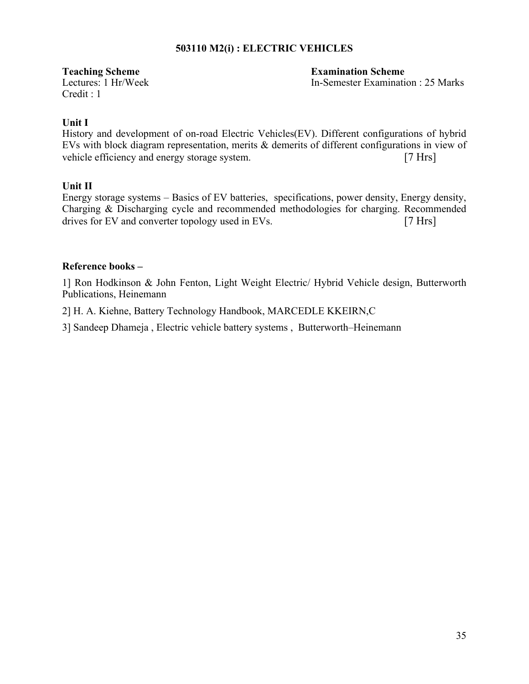## **503110 M2(i) : ELECTRIC VEHICLES**

Credit : 1

**Teaching Scheme Examination Scheme** Lectures: 1 Hr/Week In-Semester Examination : 25 Marks

## **Unit I**

History and development of on-road Electric Vehicles(EV). Different configurations of hybrid EVs with block diagram representation, merits & demerits of different configurations in view of vehicle efficiency and energy storage system. [7 Hrs]

## **Unit II**

Energy storage systems – Basics of EV batteries, specifications, power density, Energy density, Charging & Discharging cycle and recommended methodologies for charging. Recommended drives for EV and converter topology used in EVs. [7 Hrs]

## **Reference books –**

1] Ron Hodkinson & John Fenton, Light Weight Electric/ Hybrid Vehicle design, Butterworth Publications, Heinemann

2] H. A. Kiehne, Battery Technology Handbook, MARCEDLE KKEIRN,C

3] Sandeep Dhameja , Electric vehicle battery systems , Butterworth–Heinemann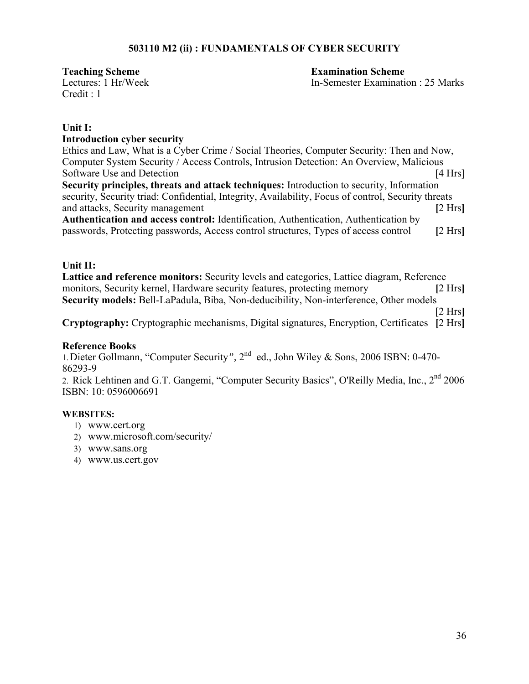## **503110 M2 (ii) : FUNDAMENTALS OF CYBER SECURITY**

Credit : 1

**Teaching Scheme Examination Scheme** Lectures: 1 Hr/Week In-Semester Examination : 25 Marks

## **Unit I:**

## **Introduction cyber security**

Ethics and Law, What is a Cyber Crime / Social Theories, Computer Security: Then and Now, Computer System Security / Access Controls, Intrusion Detection: An Overview, Malicious Software Use and Detection [4 Hrs] **Security principles, threats and attack techniques:** Introduction to security, Information security, Security triad: Confidential, Integrity, Availability, Focus of control, Security threats and attacks, Security management **[2 Hrs**] **Authentication and access control:** Identification, Authentication, Authentication by

passwords, Protecting passwords, Access control structures, Types of access control **[**2 Hrs**]**

## **Unit II:**

**Lattice and reference monitors:** Security levels and categories, Lattice diagram, Reference monitors, Security kernel, Hardware security features, protecting memory **[**2 Hrs**] Security models:** Bell-LaPadula, Biba, Non-deducibility, Non-interference, Other models

[2 Hrs**]**

**Cryptography:** Cryptographic mechanisms, Digital signatures, Encryption, Certificates **[**2 Hrs**]**

## **Reference Books**

1.Dieter Gollmann, "Computer Security*",* 2nd ed., John Wiley & Sons, 2006 ISBN: 0-470- 86293-9

2. Rick Lehtinen and G.T. Gangemi, "Computer Security Basics", O'Reilly Media, Inc., 2<sup>nd</sup> 2006 ISBN: 10: 0596006691

## **WEBSITES:**

- 1) www.cert.org
- 2) www.microsoft.com/security/
- 3) www.sans.org
- 4) www.us.cert.gov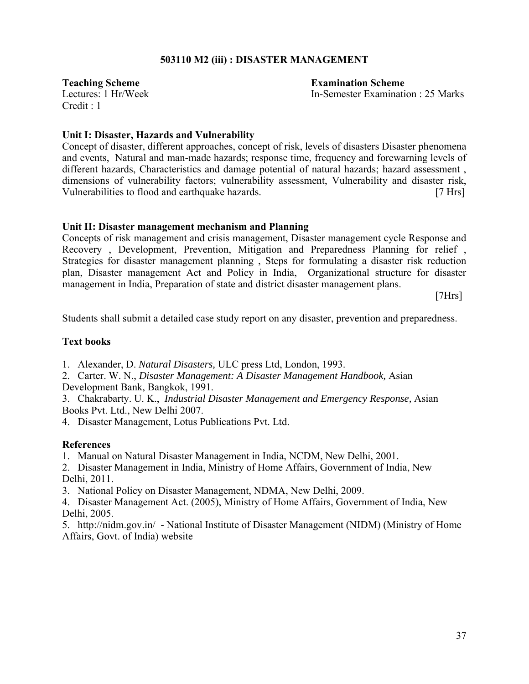## **503110 M2 (iii) : DISASTER MANAGEMENT**

 $C$ redit  $\cdot$  1

**Teaching Scheme Examination Scheme** Lectures: 1 Hr/Week In-Semester Examination : 25 Marks

## **Unit I: Disaster, Hazards and Vulnerability**

Concept of disaster, different approaches, concept of risk, levels of disasters Disaster phenomena and events, Natural and man-made hazards; response time, frequency and forewarning levels of different hazards, Characteristics and damage potential of natural hazards; hazard assessment, dimensions of vulnerability factors; vulnerability assessment, Vulnerability and disaster risk, Vulnerabilities to flood and earthquake hazards. [7 Hrs]

## **Unit II: Disaster management mechanism and Planning**

Concepts of risk management and crisis management, Disaster management cycle Response and Recovery , Development, Prevention, Mitigation and Preparedness Planning for relief , Strategies for disaster management planning , Steps for formulating a disaster risk reduction plan, Disaster management Act and Policy in India, Organizational structure for disaster management in India, Preparation of state and district disaster management plans.

[7Hrs]

Students shall submit a detailed case study report on any disaster, prevention and preparedness.

## **Text books**

1. Alexander, D. *Natural Disasters,* ULC press Ltd, London, 1993.

2. Carter. W. N., *Disaster Management: A Disaster Management Handbook,* Asian Development Bank, Bangkok, 1991.

3. Chakrabarty. U. K., *Industrial Disaster Management and Emergency Response,* Asian Books Pvt. Ltd., New Delhi 2007.

4. Disaster Management, Lotus Publications Pvt. Ltd.

## **References**

1. Manual on Natural Disaster Management in India, NCDM, New Delhi, 2001.

2. Disaster Management in India, Ministry of Home Affairs, Government of India, New Delhi, 2011.

3. National Policy on Disaster Management, NDMA, New Delhi, 2009.

4. Disaster Management Act. (2005), Ministry of Home Affairs, Government of India, New Delhi, 2005.

5. http://nidm.gov.in/ - National Institute of Disaster Management (NIDM) (Ministry of Home Affairs, Govt. of India) website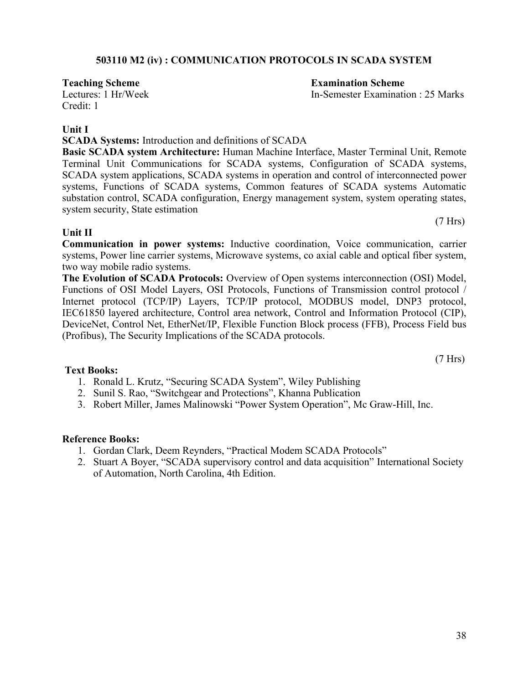## **503110 M2 (iv) : COMMUNICATION PROTOCOLS IN SCADA SYSTEM**

Credit: 1

## **Unit I**

**SCADA Systems:** Introduction and definitions of SCADA

**Basic SCADA system Architecture:** Human Machine Interface, Master Terminal Unit, Remote Terminal Unit Communications for SCADA systems, Configuration of SCADA systems, SCADA system applications, SCADA systems in operation and control of interconnected power systems, Functions of SCADA systems, Common features of SCADA systems Automatic substation control, SCADA configuration, Energy management system, system operating states, system security, State estimation

## **Unit II**

**Communication in power systems:** Inductive coordination, Voice communication, carrier systems, Power line carrier systems, Microwave systems, co axial cable and optical fiber system, two way mobile radio systems.

**The Evolution of SCADA Protocols:** Overview of Open systems interconnection (OSI) Model, Functions of OSI Model Layers, OSI Protocols, Functions of Transmission control protocol / Internet protocol (TCP/IP) Layers, TCP/IP protocol, MODBUS model, DNP3 protocol, IEC61850 layered architecture, Control area network, Control and Information Protocol (CIP), DeviceNet, Control Net, EtherNet/IP, Flexible Function Block process (FFB), Process Field bus (Profibus), The Security Implications of the SCADA protocols.

## **Text Books:**

- 1. Ronald L. Krutz, "Securing SCADA System", Wiley Publishing
- 2. Sunil S. Rao, "Switchgear and Protections", Khanna Publication
- 3. Robert Miller, James Malinowski "Power System Operation", Mc Graw-Hill, Inc.

## **Reference Books:**

- 1. Gordan Clark, Deem Reynders, "Practical Modem SCADA Protocols"
- 2. Stuart A Boyer, "SCADA supervisory control and data acquisition" International Society of Automation, North Carolina, 4th Edition.

## **Teaching Scheme Examination Scheme**

Lectures: 1 Hr/Week In-Semester Examination : 25 Marks

(7 Hrs)

(7 Hrs)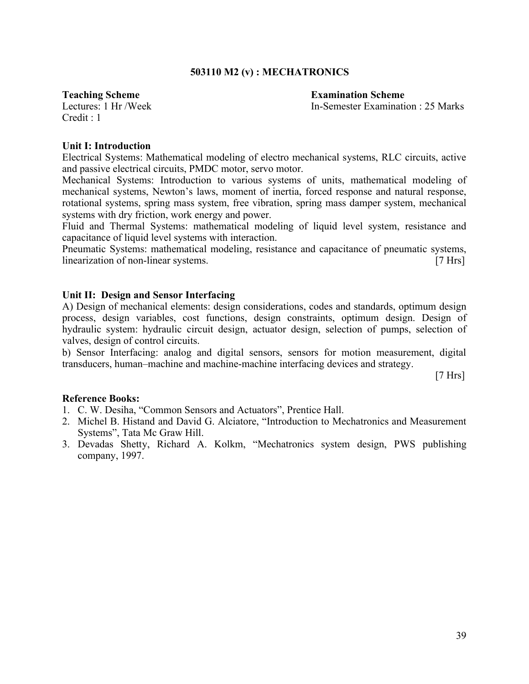## **503110 M2 (v) : MECHATRONICS**

**Teaching Scheme Examination Scheme** 

Lectures: 1 Hr /Week In-Semester Examination : 25 Marks

 $Credit \cdot 1$ 

#### **Unit I: Introduction**

Electrical Systems: Mathematical modeling of electro mechanical systems, RLC circuits, active and passive electrical circuits, PMDC motor, servo motor.

Mechanical Systems: Introduction to various systems of units, mathematical modeling of mechanical systems, Newton's laws, moment of inertia, forced response and natural response, rotational systems, spring mass system, free vibration, spring mass damper system, mechanical systems with dry friction, work energy and power.

Fluid and Thermal Systems: mathematical modeling of liquid level system, resistance and capacitance of liquid level systems with interaction.

Pneumatic Systems: mathematical modeling, resistance and capacitance of pneumatic systems, linearization of non-linear systems. [7 Hrs]

## **Unit II: Design and Sensor Interfacing**

A) Design of mechanical elements: design considerations, codes and standards, optimum design process, design variables, cost functions, design constraints, optimum design. Design of hydraulic system: hydraulic circuit design, actuator design, selection of pumps, selection of valves, design of control circuits.

b) Sensor Interfacing: analog and digital sensors, sensors for motion measurement, digital transducers, human–machine and machine-machine interfacing devices and strategy.

 $[7 Hrs]$ 

- 1. C. W. Desiha, "Common Sensors and Actuators", Prentice Hall.
- 2. Michel B. Histand and David G. Alciatore, "Introduction to Mechatronics and Measurement Systems", Tata Mc Graw Hill.
- 3. Devadas Shetty, Richard A. Kolkm, "Mechatronics system design, PWS publishing company, 1997.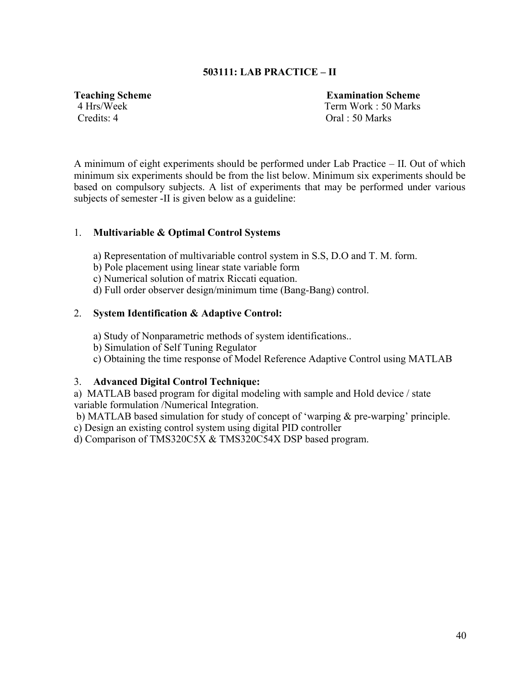## **503111: LAB PRACTICE – II**

**Teaching Scheme Examination Scheme 4 Hrs/Week Term Work : 50 Marks** Credits: 4 Oral : 50 Marks

A minimum of eight experiments should be performed under Lab Practice – II. Out of which minimum six experiments should be from the list below. Minimum six experiments should be based on compulsory subjects. A list of experiments that may be performed under various subjects of semester -II is given below as a guideline:

## 1. **Multivariable & Optimal Control Systems**

- a) Representation of multivariable control system in S.S, D.O and T. M. form.
- b) Pole placement using linear state variable form
- c) Numerical solution of matrix Riccati equation.
- d) Full order observer design/minimum time (Bang-Bang) control.

## 2. **System Identification & Adaptive Control:**

- a) Study of Nonparametric methods of system identifications..
- b) Simulation of Self Tuning Regulator
- c) Obtaining the time response of Model Reference Adaptive Control using MATLAB

## 3. **Advanced Digital Control Technique:**

a) MATLAB based program for digital modeling with sample and Hold device / state variable formulation /Numerical Integration.

b) MATLAB based simulation for study of concept of 'warping & pre-warping' principle.

c) Design an existing control system using digital PID controller

d) Comparison of TMS320C5X & TMS320C54X DSP based program.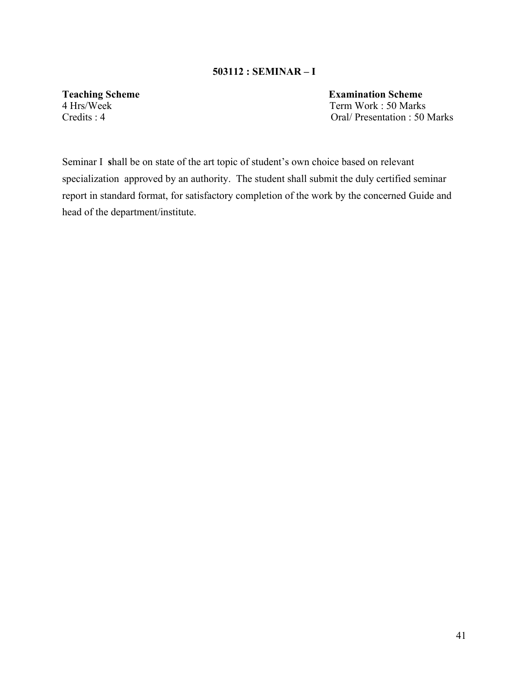## **503112 : SEMINAR – I**

**Teaching Scheme**<br>
4 Hrs/Week<br>
Term Work: 50 Marks Term Work : 50 Marks Credits : 4 Oral/ Presentation : 50 Marks

Seminar I **s**hall be on state of the art topic of student's own choice based on relevant specialization approved by an authority. The student shall submit the duly certified seminar report in standard format, for satisfactory completion of the work by the concerned Guide and head of the department/institute.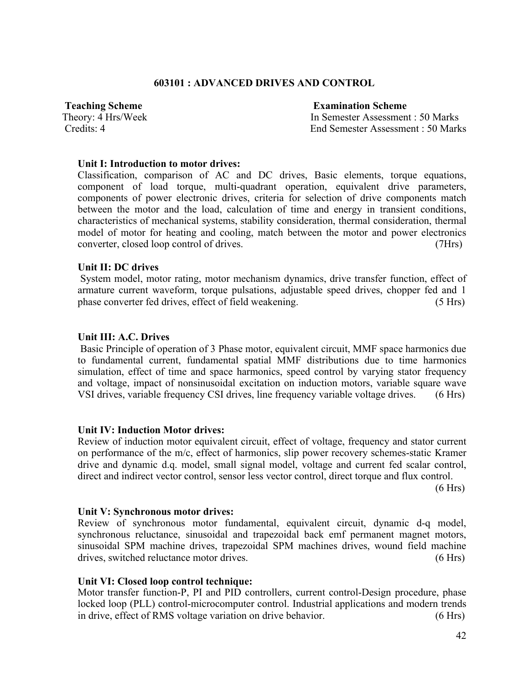## **603101 : ADVANCED DRIVES AND CONTROL**

**Teaching Scheme Examination Scheme**

Theory: 4 Hrs/Week In Semester Assessment : 50 Marks Credits: 4 End Semester Assessment : 50 Marks

## **Unit I: Introduction to motor drives:**

Classification, comparison of AC and DC drives, Basic elements, torque equations, component of load torque, multi-quadrant operation, equivalent drive parameters, components of power electronic drives, criteria for selection of drive components match between the motor and the load, calculation of time and energy in transient conditions, characteristics of mechanical systems, stability consideration, thermal consideration, thermal model of motor for heating and cooling, match between the motor and power electronics converter, closed loop control of drives. (7Hrs)

## **Unit II: DC drives**

System model, motor rating, motor mechanism dynamics, drive transfer function, effect of armature current waveform, torque pulsations, adjustable speed drives, chopper fed and 1 phase converter fed drives, effect of field weakening. (5 Hrs)

## **Unit III: A.C. Drives**

Basic Principle of operation of 3 Phase motor, equivalent circuit, MMF space harmonics due to fundamental current, fundamental spatial MMF distributions due to time harmonics simulation, effect of time and space harmonics, speed control by varying stator frequency and voltage, impact of nonsinusoidal excitation on induction motors, variable square wave VSI drives, variable frequency CSI drives, line frequency variable voltage drives. (6 Hrs)

## **Unit IV: Induction Motor drives:**

Review of induction motor equivalent circuit, effect of voltage, frequency and stator current on performance of the m/c, effect of harmonics, slip power recovery schemes-static Kramer drive and dynamic d.q. model, small signal model, voltage and current fed scalar control, direct and indirect vector control, sensor less vector control, direct torque and flux control.

(6 Hrs)

## **Unit V: Synchronous motor drives:**

Review of synchronous motor fundamental, equivalent circuit, dynamic d-q model, synchronous reluctance, sinusoidal and trapezoidal back emf permanent magnet motors, sinusoidal SPM machine drives, trapezoidal SPM machines drives, wound field machine drives, switched reluctance motor drives. (6 Hrs)

## **Unit VI: Closed loop control technique:**

Motor transfer function-P, PI and PID controllers, current control-Design procedure, phase locked loop (PLL) control-microcomputer control. Industrial applications and modern trends in drive, effect of RMS voltage variation on drive behavior. (6 Hrs)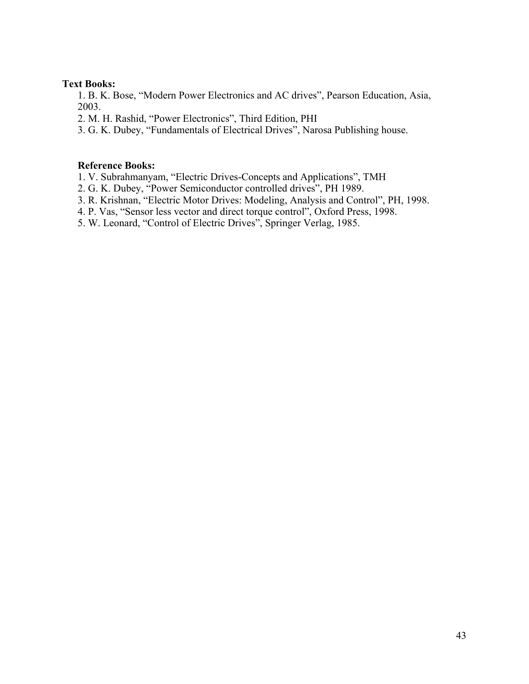## **Text Books:**

1. B. K. Bose, "Modern Power Electronics and AC drives", Pearson Education, Asia, 2003.

2. M. H. Rashid, "Power Electronics", Third Edition, PHI

3. G. K. Dubey, "Fundamentals of Electrical Drives", Narosa Publishing house.

## **Reference Books:**

1. V. Subrahmanyam, "Electric Drives-Concepts and Applications", TMH

2. G. K. Dubey, "Power Semiconductor controlled drives", PH 1989.

3. R. Krishnan, "Electric Motor Drives: Modeling, Analysis and Control", PH, 1998.

4. P. Vas, "Sensor less vector and direct torque control", Oxford Press, 1998.

5. W. Leonard, "Control of Electric Drives", Springer Verlag, 1985.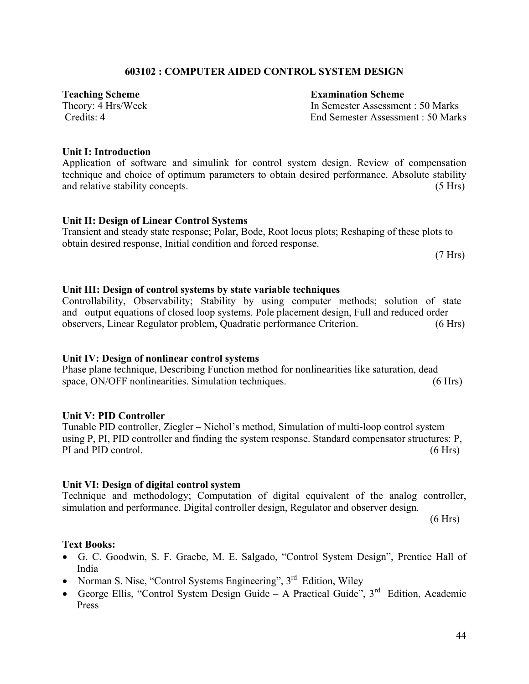## 44

## **603102 : COMPUTER AIDED CONTROL SYSTEM DESIGN**

**Teaching Scheme**<br> **Theory:** 4 Hrs/Week<br> **Examination Scheme**<br> **Examination Scheme**<br> **Examination Scheme** In Semester Assessment : 50 Marks Credits: 4 End Semester Assessment : 50 Marks

## **Unit I: Introduction**

Application of software and simulink for control system design. Review of compensation technique and choice of optimum parameters to obtain desired performance. Absolute stability and relative stability concepts. (5 Hrs) (5 Hrs)

## **Unit II: Design of Linear Control Systems**

Transient and steady state response; Polar, Bode, Root locus plots; Reshaping of these plots to obtain desired response, Initial condition and forced response.

(7 Hrs)

## **Unit III: Design of control systems by state variable techniques**

Controllability, Observability; Stability by using computer methods; solution of state and output equations of closed loop systems. Pole placement design, Full and reduced order observers, Linear Regulator problem, Quadratic performance Criterion. (6 Hrs)

## **Unit IV: Design of nonlinear control systems**

Phase plane technique, Describing Function method for nonlinearities like saturation, dead space, ON/OFF nonlinearities. Simulation techniques. (6 Hrs)

## **Unit V: PID Controller**

Tunable PID controller, Ziegler – Nichol's method, Simulation of multi-loop control system using P, PI, PID controller and finding the system response. Standard compensator structures: P, PI and PID control. (6 Hrs) (6 Hrs)

## **Unit VI: Design of digital control system**

Technique and methodology; Computation of digital equivalent of the analog controller, simulation and performance. Digital controller design, Regulator and observer design.

 $(6 Hrs)$ 

## **Text Books:**

- G. C. Goodwin, S. F. Graebe, M. E. Salgado, "Control System Design", Prentice Hall of India
- Norman S. Nise, "Control Systems Engineering",  $3<sup>rd</sup>$  Edition, Wiley
- George Ellis, "Control System Design Guide A Practical Guide",  $3<sup>rd</sup>$  Edition, Academic Press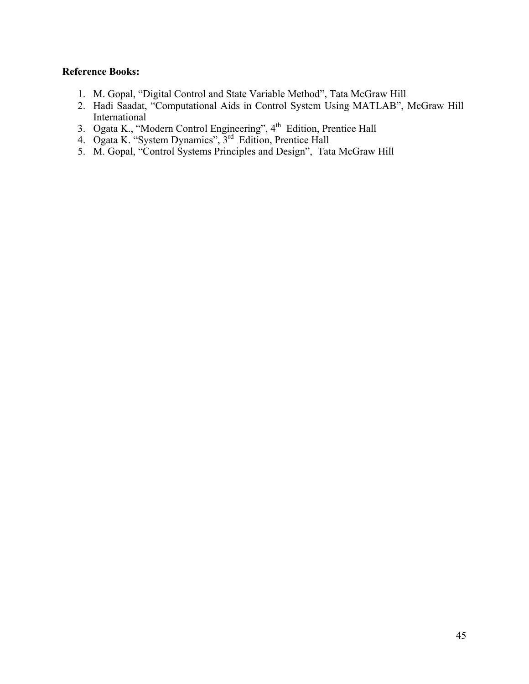- 1. M. Gopal, "Digital Control and State Variable Method", Tata McGraw Hill
- 2. Hadi Saadat, "Computational Aids in Control System Using MATLAB", McGraw Hill International
- 3. Ogata K., "Modern Control Engineering", 4<sup>th</sup> Edition, Prentice Hall
- 4. Ogata K. "System Dynamics", 3<sup>rd</sup> Edition, Prentice Hall
- 5. M. Gopal, "Control Systems Principles and Design", Tata McGraw Hill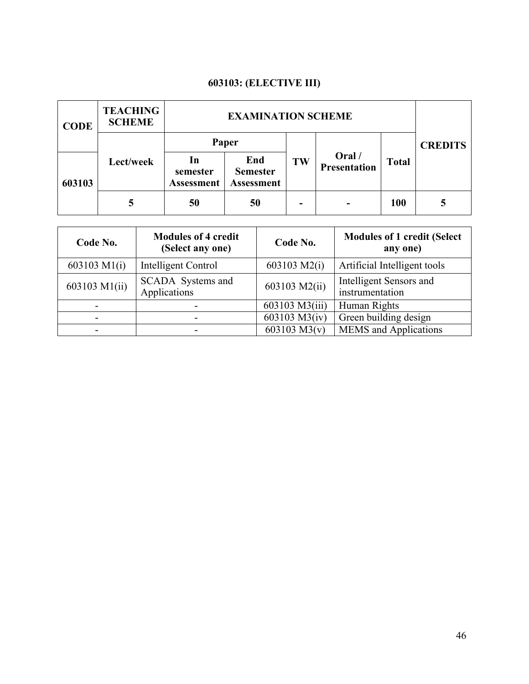## **603103: (ELECTIVE III)**

| <b>CODE</b> | <b>TEACHING</b><br><b>SCHEME</b> | <b>EXAMINATION SCHEME</b>           |                                             |    |                        |              |                |
|-------------|----------------------------------|-------------------------------------|---------------------------------------------|----|------------------------|--------------|----------------|
|             |                                  | Paper                               |                                             |    |                        |              | <b>CREDITS</b> |
| 603103      | Lect/week                        | In<br>semester<br><b>Assessment</b> | End<br><b>Semester</b><br><b>Assessment</b> | TW | Oral /<br>Presentation | <b>Total</b> |                |
|             |                                  | 50                                  | 50                                          |    | -                      | <b>100</b>   |                |

| Code No.      | <b>Modules of 4 credit</b><br>(Select any one) | Code No.       | <b>Modules of 1 credit (Select</b><br>any one) |
|---------------|------------------------------------------------|----------------|------------------------------------------------|
| 603103 M1(i)  | Intelligent Control                            | 603103 $M2(i)$ | Artificial Intelligent tools                   |
| 603103 M1(ii) | SCADA Systems and<br>Applications              | 603103 M2(ii)  | Intelligent Sensors and<br>instrumentation     |
|               |                                                | 603103 M3(iii) | Human Rights                                   |
|               |                                                | 603103 M3(iv)  | Green building design                          |
|               |                                                | 603103 $M3(v)$ | <b>MEMS</b> and Applications                   |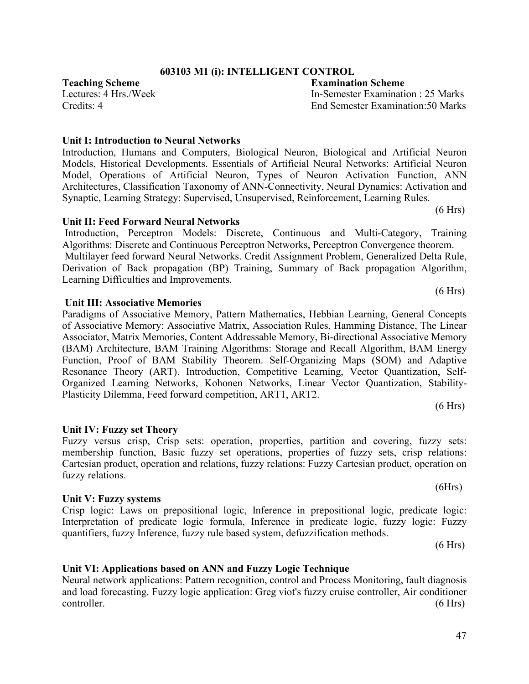## **603103 M1 (i): INTELLIGENT CONTROL**

**Teaching Scheme Examination Scheme** Lectures: 4 Hrs./Week In-Semester Examination : 25 Marks Credits: 4 End Semester Examination:50 Marks

## **Unit I: Introduction to Neural Networks**  Introduction, Humans and Computers, Biological Neuron, Biological and Artificial Neuron Models, Historical Developments. Essentials of Artificial Neural Networks: Artificial Neuron Model, Operations of Artificial Neuron, Types of Neuron Activation Function, ANN Architectures, Classification Taxonomy of ANN-Connectivity, Neural Dynamics: Activation and Synaptic, Learning Strategy: Supervised, Unsupervised, Reinforcement, Learning Rules.

**Unit II: Feed Forward Neural Networks**

Introduction, Perceptron Models: Discrete, Continuous and Multi-Category, Training Algorithms: Discrete and Continuous Perceptron Networks, Perceptron Convergence theorem. Multilayer feed forward Neural Networks. Credit Assignment Problem, Generalized Delta Rule, Derivation of Back propagation (BP) Training, Summary of Back propagation Algorithm, Learning Difficulties and Improvements.  $(6 Hrs)$ 

## **Unit III: Associative Memories**

Paradigms of Associative Memory, Pattern Mathematics, Hebbian Learning, General Concepts of Associative Memory: Associative Matrix, Association Rules, Hamming Distance, The Linear Associator, Matrix Memories, Content Addressable Memory, Bi-directional Associative Memory (BAM) Architecture, BAM Training Algorithms: Storage and Recall Algorithm, BAM Energy Function, Proof of BAM Stability Theorem. Self-Organizing Maps (SOM) and Adaptive Resonance Theory (ART). Introduction, Competitive Learning, Vector Quantization, Self-Organized Learning Networks, Kohonen Networks, Linear Vector Quantization, Stability-Plasticity Dilemma, Feed forward competition, ART1, ART2. (6 Hrs)

## **Unit IV: Fuzzy set Theory**

Fuzzy versus crisp, Crisp sets: operation, properties, partition and covering, fuzzy sets: membership function, Basic fuzzy set operations, properties of fuzzy sets, crisp relations: Cartesian product, operation and relations, fuzzy relations: Fuzzy Cartesian product, operation on fuzzy relations.

## **Unit V: Fuzzy systems**

Crisp logic: Laws on prepositional logic, Inference in prepositional logic, predicate logic: Interpretation of predicate logic formula, Inference in predicate logic, fuzzy logic: Fuzzy quantifiers, fuzzy Inference, fuzzy rule based system, defuzzification methods.

## **Unit VI: Applications based on ANN and Fuzzy Logic Technique**

Neural network applications: Pattern recognition, control and Process Monitoring, fault diagnosis and load forecasting. Fuzzy logic application: Greg viot's fuzzy cruise controller, Air conditioner controller. (6 Hrs)

(6 Hrs)

 $(6 Hrs)$ 

 $(6Hrs)$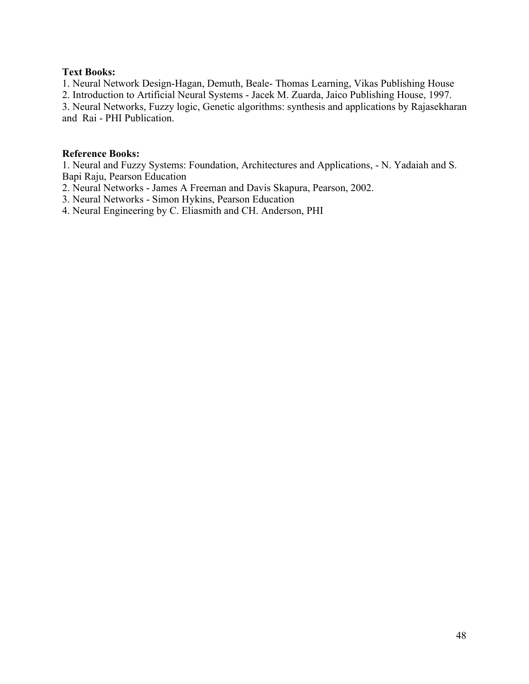## **Text Books:**

1. Neural Network Design-Hagan, Demuth, Beale- Thomas Learning, Vikas Publishing House

2. Introduction to Artificial Neural Systems - Jacek M. Zuarda, Jaico Publishing House, 1997.

3. Neural Networks, Fuzzy logic, Genetic algorithms: synthesis and applications by Rajasekharan and Rai - PHI Publication.

## **Reference Books:**

1. Neural and Fuzzy Systems: Foundation, Architectures and Applications, - N. Yadaiah and S. Bapi Raju, Pearson Education

2. Neural Networks - James A Freeman and Davis Skapura, Pearson, 2002.

3. Neural Networks - Simon Hykins, Pearson Education

4. Neural Engineering by C. Eliasmith and CH. Anderson, PHI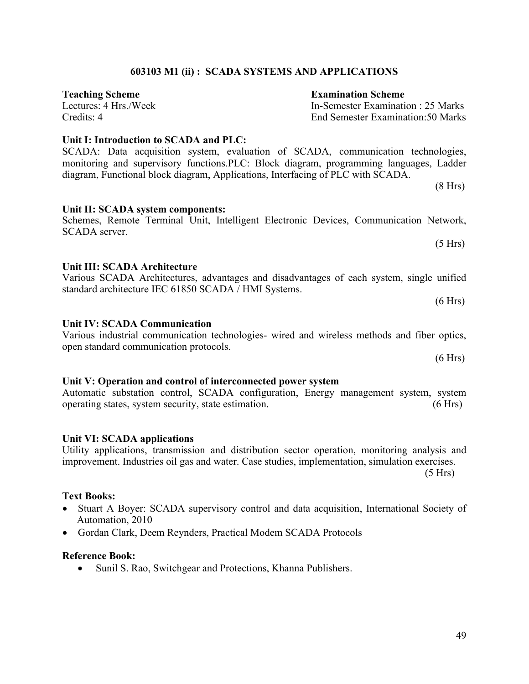## **603103 M1 (ii) : SCADA SYSTEMS AND APPLICATIONS**

SCADA server.

**Teaching Scheme**<br> **Teaching Scheme**<br> **Examination Scheme**<br> **Examination Scheme**<br> **Examination Scheme**<br> **Examination Scheme** 

**Unit I: Introduction to SCADA and PLC:**

## SCADA: Data acquisition system, evaluation of SCADA, communication technologies, monitoring and supervisory functions.PLC: Block diagram, programming languages, Ladder diagram, Functional block diagram, Applications, Interfacing of PLC with SCADA.

**Unit II: SCADA system components:** Schemes, Remote Terminal Unit, Intelligent Electronic Devices, Communication Network,

#### **Unit III: SCADA Architecture** Various SCADA Architectures, advantages and disadvantages of each system, single unified

# standard architecture IEC 61850 SCADA / HMI Systems.

## **Unit IV: SCADA Communication**

Various industrial communication technologies- wired and wireless methods and fiber optics, open standard communication protocols.

## **Unit V: Operation and control of interconnected power system**

Automatic substation control, SCADA configuration, Energy management system, system operating states, system security, state estimation. (6 Hrs)

## **Unit VI: SCADA applications**

Utility applications, transmission and distribution sector operation, monitoring analysis and improvement. Industries oil gas and water. Case studies, implementation, simulation exercises.

 $(5 Hrs)$ 

## **Text Books:**

- Stuart A Boyer: SCADA supervisory control and data acquisition, International Society of Automation, 2010
- Gordan Clark, Deem Reynders, Practical Modem SCADA Protocols

## **Reference Book:**

• Sunil S. Rao, Switchgear and Protections, Khanna Publishers.

In-Semester Examination : 25 Marks. Credits: 4 End Semester Examination:50 Marks

 $(5 Hrs)$ 

 $(8 Hrs)$ 

 $(6 Hrs)$ 

 $(6 Hrs)$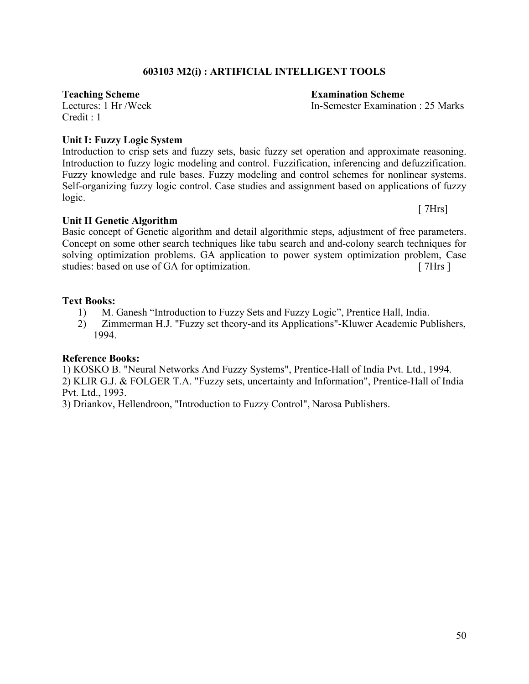## **603103 M2(i) : ARTIFICIAL INTELLIGENT TOOLS**

 $C$ redit  $\cdot$  1

## **Unit I: Fuzzy Logic System**

Introduction to crisp sets and fuzzy sets, basic fuzzy set operation and approximate reasoning. Introduction to fuzzy logic modeling and control. Fuzzification, inferencing and defuzzification. Fuzzy knowledge and rule bases. Fuzzy modeling and control schemes for nonlinear systems. Self-organizing fuzzy logic control. Case studies and assignment based on applications of fuzzy logic.

**Unit II Genetic Algorithm** Basic concept of Genetic algorithm and detail algorithmic steps, adjustment of free parameters. Concept on some other search techniques like tabu search and and-colony search techniques for solving optimization problems. GA application to power system optimization problem, Case studies: based on use of GA for optimization. [ 7Hrs ]

## **Text Books:**

- 1) M. Ganesh "Introduction to Fuzzy Sets and Fuzzy Logic", Prentice Hall, India.
- 2) Zimmerman H.J. "Fuzzy set theory-and its Applications"-Kluwer Academic Publishers, 1994.

## **Reference Books:**

1) KOSKO B. "Neural Networks And Fuzzy Systems", Prentice-Hall of India Pvt. Ltd., 1994. 2) KLIR G.J. & FOLGER T.A. "Fuzzy sets, uncertainty and Information", Prentice-Hall of India Pvt. Ltd., 1993.

3) Driankov, Hellendroon, "Introduction to Fuzzy Control", Narosa Publishers.

# **Teaching Scheme**<br> **Teaching Scheme**<br> **Examination Scheme**<br> **Examination Scheme**<br> **Examination Scheme**<br> **Examination Scheme**

In-Semester Examination : 25 Marks

[ 7Hrs]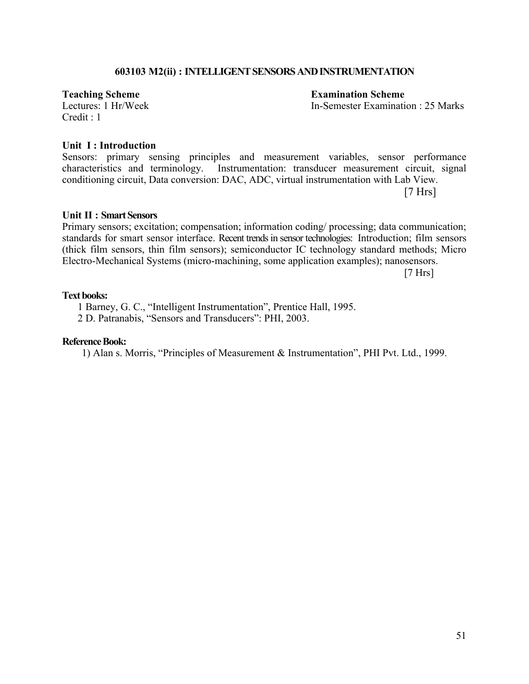## **603103 M2(ii) : INTELLIGENT SENSORS AND INSTRUMENTATION**

 $C$ redit  $\cdot$  1

**Teaching Scheme**<br> **Teaching Scheme**<br> **Examination Scheme**<br> **Examination Scheme**<br> **Examination Scheme**<br> **Examination Scheme** 

In-Semester Examination : 25 Marks

#### **Unit I : Introduction**

Sensors: primary sensing principles and measurement variables, sensor performance characteristics and terminology. Instrumentation: transducer measurement circuit, signal conditioning circuit, Data conversion: DAC, ADC, virtual instrumentation with Lab View.

 $[7 Hrs]$ 

#### **Unit II : Smart Sensors**

Primary sensors; excitation; compensation; information coding/ processing; data communication; standards for smart sensor interface. Recent trends in sensor technologies: Introduction; film sensors (thick film sensors, thin film sensors); semiconductor IC technology standard methods; Micro Electro-Mechanical Systems (micro-machining, some application examples); nanosensors.

[7 Hrs]

## **Text books:**

1 Barney, G. C., "Intelligent Instrumentation", Prentice Hall, 1995.

2 D. Patranabis, "Sensors and Transducers": PHI, 2003.

## **Reference Book:**

1) Alan s. Morris, "Principles of Measurement & Instrumentation", PHI Pvt. Ltd., 1999.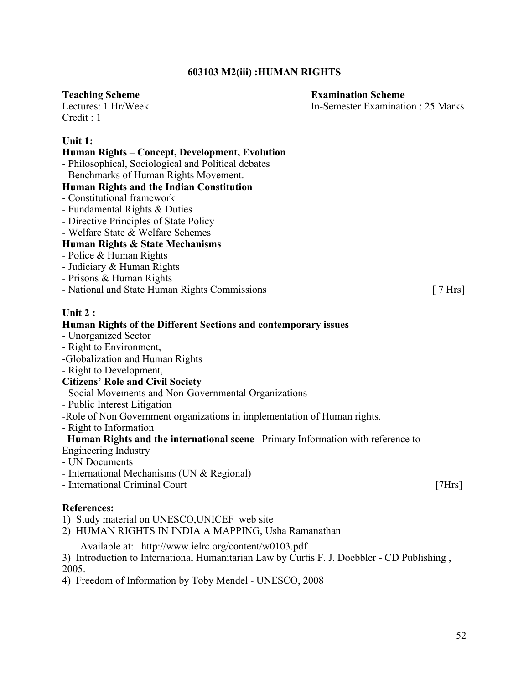## **603103 M2(iii) :HUMAN RIGHTS**

## **Teaching Scheme Examination Scheme**

Lectures: 1 Hr/Week In-Semester Examination : 25 Marks  $Credit \cdot 1$ 

## **Unit 1:**

## **Human Rights – Concept, Development, Evolution**

- Philosophical, Sociological and Political debates

- Benchmarks of Human Rights Movement.

## **Human Rights and the Indian Constitution**

- Constitutional framework
- Fundamental Rights & Duties
- Directive Principles of State Policy
- Welfare State & Welfare Schemes

## **Human Rights & State Mechanisms**

- Police & Human Rights
- Judiciary & Human Rights
- Prisons & Human Rights
- National and State Human Rights Commissions [ 7 Hrs]

## **Unit 2 :**

## **Human Rights of the Different Sections and contemporary issues**

- Unorganized Sector
- Right to Environment,
- -Globalization and Human Rights
- Right to Development,

## **Citizens' Role and Civil Society**

- Social Movements and Non-Governmental Organizations
- Public Interest Litigation

-Role of Non Government organizations in implementation of Human rights.

- Right to Information

## **Human Rights and the international scene** –Primary Information with reference to

- Engineering Industry
- UN Documents
- International Mechanisms (UN & Regional)
- International Criminal Court [7Hrs]

## **References:**

- 1) Study material on UNESCO,UNICEF web site
- 2) HUMAN RIGHTS IN INDIA A MAPPING, Usha Ramanathan

Available at: http://www.ielrc.org/content/w0103.pdf

3) Introduction to International Humanitarian Law by Curtis F. J. Doebbler - CD Publishing , 2005.

4) Freedom of Information by Toby Mendel - UNESCO, 2008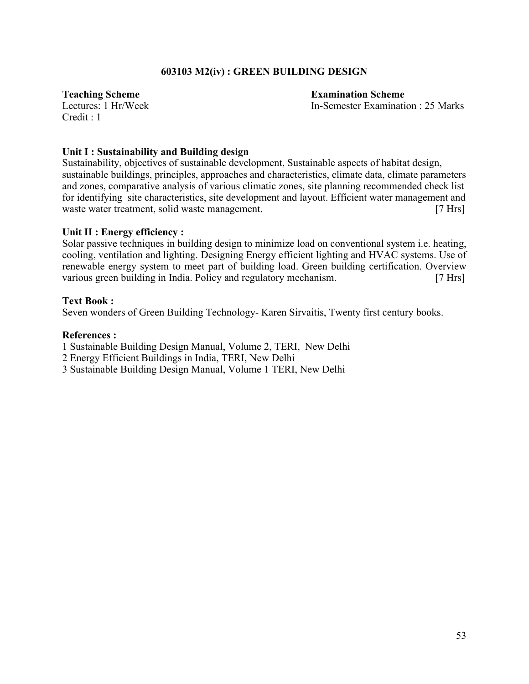## **603103 M2(iv) : GREEN BUILDING DESIGN**

In-Semester Examination : 25 Marks

**Teaching Scheme**<br> **Teaching Scheme**<br> **Examination Scheme**<br> **Examination Scheme**<br> **Examination Scheme**  $C$ redit  $\cdot$  1

## **Unit I : Sustainability and Building design**

Sustainability, objectives of sustainable development, Sustainable aspects of habitat design, sustainable buildings, principles, approaches and characteristics, climate data, climate parameters and zones, comparative analysis of various climatic zones, site planning recommended check list for identifying site characteristics, site development and layout. Efficient water management and waste water treatment, solid waste management. [7 Hrs]

## **Unit II : Energy efficiency :**

Solar passive techniques in building design to minimize load on conventional system i.e. heating, cooling, ventilation and lighting. Designing Energy efficient lighting and HVAC systems. Use of renewable energy system to meet part of building load. Green building certification. Overview various green building in India. Policy and regulatory mechanism. [7 Hrs]

## **Text Book :**

Seven wonders of Green Building Technology- Karen Sirvaitis, Twenty first century books.

## **References :**

- 1 Sustainable Building Design Manual, Volume 2, TERI, New Delhi
- 2 Energy Efficient Buildings in India, TERI, New Delhi
- 3 Sustainable Building Design Manual, Volume 1 TERI, New Delhi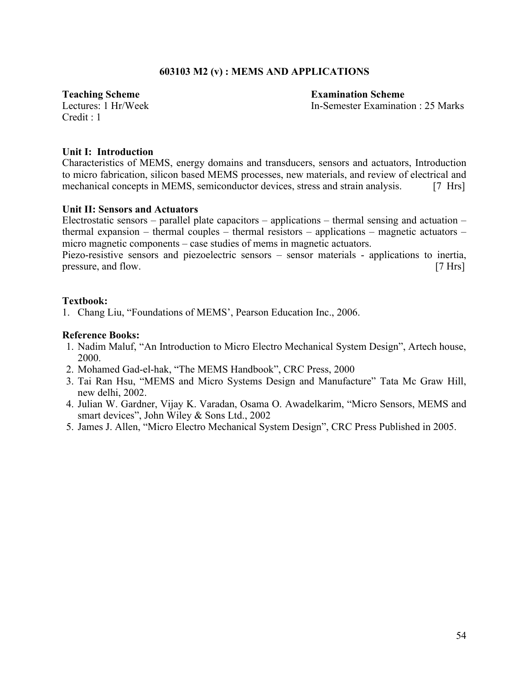## **603103 M2 (v) : MEMS AND APPLICATIONS**

**Teaching Scheme**<br> **Teaching Scheme**<br> **Examination Scheme**<br> **Examination Scheme**<br> **Examination Scheme**<br> **Examination Scheme** 

In-Semester Examination : 25 Marks

 $C$ redit  $\cdot$  1

## **Unit I: Introduction**

Characteristics of MEMS, energy domains and transducers, sensors and actuators, Introduction to micro fabrication, silicon based MEMS processes, new materials, and review of electrical and mechanical concepts in MEMS, semiconductor devices, stress and strain analysis. [7 Hrs]

## **Unit II: Sensors and Actuators**

Electrostatic sensors – parallel plate capacitors – applications – thermal sensing and actuation – thermal expansion – thermal couples – thermal resistors – applications – magnetic actuators – micro magnetic components – case studies of mems in magnetic actuators.

Piezo-resistive sensors and piezoelectric sensors – sensor materials - applications to inertia, pressure, and flow. [7 Hrs]

## **Textbook:**

1. Chang Liu, "Foundations of MEMS', Pearson Education Inc., 2006.

- 1. Nadim Maluf, "An Introduction to Micro Electro Mechanical System Design", Artech house, 2000.
- 2. Mohamed Gad-el-hak, "The MEMS Handbook", CRC Press, 2000
- 3. Tai Ran Hsu, "MEMS and Micro Systems Design and Manufacture" Tata Mc Graw Hill, new delhi, 2002.
- 4. Julian W. Gardner, Vijay K. Varadan, Osama O. Awadelkarim, "Micro Sensors, MEMS and smart devices", John Wiley & Sons Ltd., 2002
- 5. James J. Allen, "Micro Electro Mechanical System Design", CRC Press Published in 2005.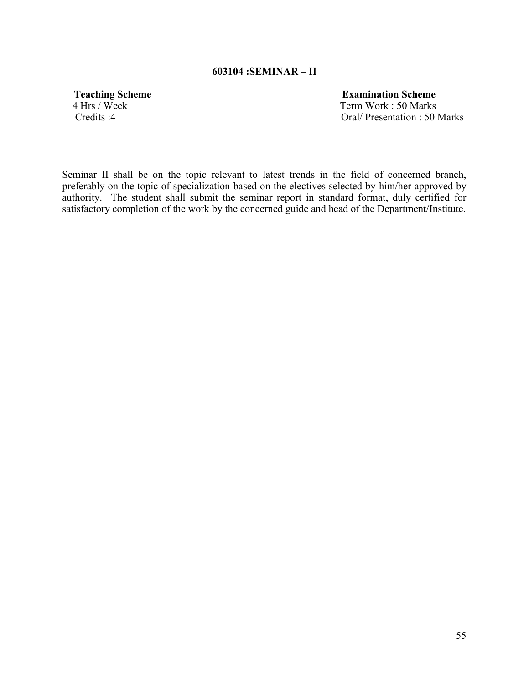## **603104 :SEMINAR – II**

**Teaching Scheme**<br>
4 Hrs / Week<br> **Term Work: 50 Marks** Term Work : 50 Marks Credits :4 Oral/ Presentation : 50 Marks

Seminar II shall be on the topic relevant to latest trends in the field of concerned branch, preferably on the topic of specialization based on the electives selected by him/her approved by authority. The student shall submit the seminar report in standard format, duly certified for satisfactory completion of the work by the concerned guide and head of the Department/Institute.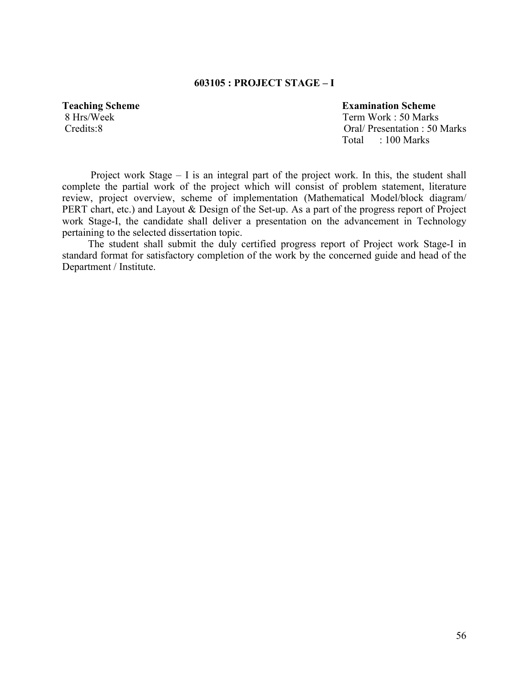## **603105 : PROJECT STAGE – I**

## **Teaching Scheme** Examination Scheme

8 Hrs/Week Term Work : 50 Marks Credits:8 Oral/ Presentation : 50 Marks Total : 100 Marks

 Project work Stage – I is an integral part of the project work. In this, the student shall complete the partial work of the project which will consist of problem statement, literature review, project overview, scheme of implementation (Mathematical Model/block diagram/ PERT chart, etc.) and Layout & Design of the Set-up. As a part of the progress report of Project work Stage-I, the candidate shall deliver a presentation on the advancement in Technology pertaining to the selected dissertation topic.

 The student shall submit the duly certified progress report of Project work Stage-I in standard format for satisfactory completion of the work by the concerned guide and head of the Department / Institute.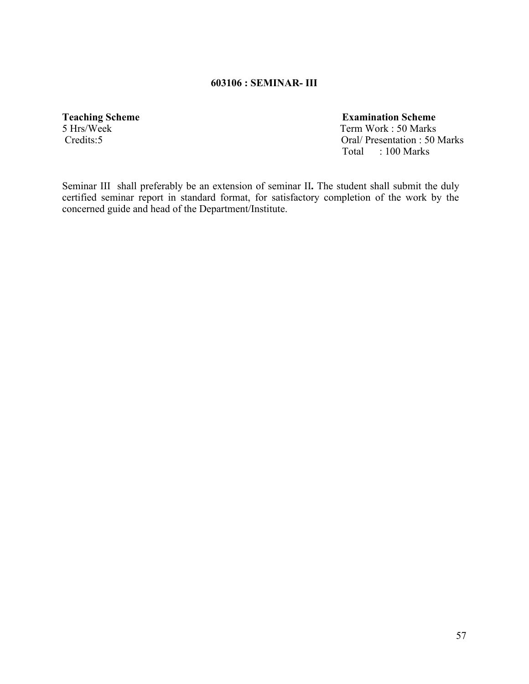## **603106 : SEMINAR- III**

**Teaching Scheme**<br>
5 Hrs/Week<br>
Term Work: 50 Marks

5 Hrs/Week Term Work : 50 Marks<br>Credits:5 Oral/Presentation : 50 I Oral/ Presentation : 50 Marks Total : 100 Marks

Seminar IIIshall preferably be an extension of seminar II**.** The student shall submit the duly certified seminar report in standard format, for satisfactory completion of the work by the concerned guide and head of the Department/Institute.